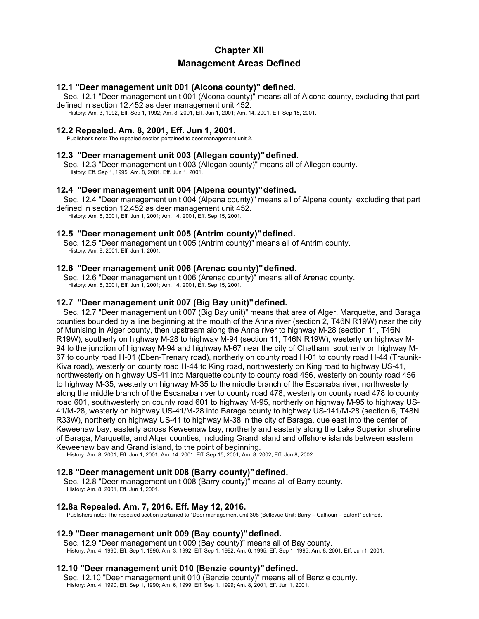# **Chapter XII Management Areas Defined**

### **12.1 "Deer management unit 001 (Alcona county)" defined.**

Sec. 12.1 "Deer management unit 001 (Alcona county)" means all of Alcona county, excluding that part defined in section 12.452 as deer management unit 452.

History: Am. 3, 1992, Eff. Sep 1, 1992; Am. 8, 2001, Eff. Jun 1, 2001; Am. 14, 2001, Eff. Sep 15, 2001.

## **12.2 Repealed. Am. 8, 2001, Eff. Jun 1, 2001.**

Publisher's note: The repealed section pertained to deer management unit 2.

# **12.3 "Deer management unit 003 (Allegan county)"defined.**

Sec. 12.3 "Deer management unit 003 (Allegan county)" means all of Allegan county. History: Eff. Sep 1, 1995; Am. 8, 2001, Eff. Jun 1, 2001.

### **12.4 "Deer management unit 004 (Alpena county)"defined.**

Sec. 12.4 "Deer management unit 004 (Alpena county)" means all of Alpena county, excluding that part defined in section 12.452 as deer management unit 452.

History: Am. 8, 2001, Eff. Jun 1, 2001; Am. 14, 2001, Eff. Sep 15, 2001.

### **12.5 "Deer management unit 005 (Antrim county)"defined.**

Sec. 12.5 "Deer management unit 005 (Antrim county)" means all of Antrim county. History: Am. 8, 2001, Eff. Jun 1, 2001.

### **12.6 "Deer management unit 006 (Arenac county)"defined.**

Sec. 12.6 "Deer management unit 006 (Arenac county)" means all of Arenac county. History: Am. 8, 2001, Eff. Jun 1, 2001; Am. 14, 2001, Eff. Sep 15, 2001.

# **12.7 "Deer management unit 007 (Big Bay unit)"defined.**

Sec. 12.7 "Deer management unit 007 (Big Bay unit)" means that area of Alger, Marquette, and Baraga counties bounded by a line beginning at the mouth of the Anna river (section 2, T46N R19W) near the city of Munising in Alger county, then upstream along the Anna river to highway M-28 (section 11, T46N R19W), southerly on highway M-28 to highway M-94 (section 11, T46N R19W), westerly on highway M-94 to the junction of highway M-94 and highway M-67 near the city of Chatham, southerly on highway M-67 to county road H-01 (Eben-Trenary road), northerly on county road H-01 to county road H-44 (Traunik-Kiva road), westerly on county road H-44 to King road, northwesterly on King road to highway US-41, northwesterly on highway US-41 into Marquette county to county road 456, westerly on county road 456 to highway M-35, westerly on highway M-35 to the middle branch of the Escanaba river, northwesterly along the middle branch of the Escanaba river to county road 478, westerly on county road 478 to county road 601, southwesterly on county road 601 to highway M-95, northerly on highway M-95 to highway US-41/M-28, westerly on highway US-41/M-28 into Baraga county to highway US-141/M-28 (section 6, T48N R33W), northerly on highway US-41 to highway M-38 in the city of Baraga, due east into the center of Keweenaw bay, easterly across Keweenaw bay, northerly and easterly along the Lake Superior shoreline of Baraga, Marquette, and Alger counties, including Grand island and offshore islands between eastern Keweenaw bay and Grand island, to the point of beginning.

History: Am. 8, 2001, Eff. Jun 1, 2001; Am. 14, 2001, Eff. Sep 15, 2001; Am. 8, 2002, Eff. Jun 8, 2002.

### **12.8 "Deer management unit 008 (Barry county)"defined.**

Sec. 12.8 "Deer management unit 008 (Barry county)" means all of Barry county. History: Am. 8, 2001, Eff. Jun 1, 2001.

### **12.8a Repealed. Am. 7, 2016. Eff. May 12, 2016.**

Publishers note: The repealed section pertained to "Deer management unit 308 (Bellevue Unit; Barry – Calhoun – Eaton)" defined.

### **12.9 "Deer management unit 009 (Bay county)"defined.**

Sec. 12.9 "Deer management unit 009 (Bay county)" means all of Bay county. History: Am. 4, 1990, Eff. Sep 1, 1990; Am. 3, 1992, Eff. Sep 1, 1992; Am. 6, 1995, Eff. Sep 1, 1995; Am. 8, 2001, Eff. Jun 1, 2001.

### **12.10 "Deer management unit 010 (Benzie county)"defined.**

Sec. 12.10 "Deer management unit 010 (Benzie county)" means all of Benzie county. History: Am. 4, 1990, Eff. Sep 1, 1990; Am. 6, 1999, Eff. Sep 1, 1999; Am. 8, 2001, Eff. Jun 1, 2001.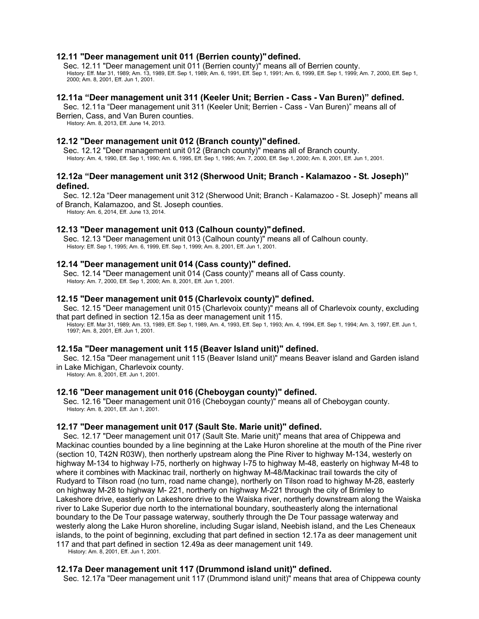# **12.11 "Deer management unit 011 (Berrien county)"defined.**

Sec. 12.11 "Deer management unit 011 (Berrien county)" means all of Berrien county. History: Eff. Mar 31, 1989; Am. 13, 1989, Eff. Sep 1, 1989; Am. 6, 1991, Eff. Sep 1, 1991; Am. 6, 1999, Eff. Sep 1, 1999; Am. 7, 2000, Eff. Sep 1,<br>2000; Am. 8, 2001, Eff. Jun 1, 2001.

### **12.11a "Deer management unit 311 (Keeler Unit; Berrien - Cass - Van Buren)" defined.**

Sec. 12.11a "Deer management unit 311 (Keeler Unit; Berrien - Cass - Van Buren)" means all of Berrien, Cass, and Van Buren counties.

History: Am. 8, 2013, Eff. June 14, 2013.

# **12.12 "Deer management unit 012 (Branch county)"defined.**

Sec. 12.12 "Deer management unit 012 (Branch county)" means all of Branch county. History: Am. 4, 1990, Eff. Sep 1, 1990; Am. 6, 1995, Eff. Sep 1, 1995; Am. 7, 2000, Eff. Sep 1, 2000; Am. 8, 2001, Eff. Jun 1, 2001.

## **12.12a "Deer management unit 312 (Sherwood Unit; Branch - Kalamazoo - St. Joseph)" defined.**

Sec. 12.12a "Deer management unit 312 (Sherwood Unit; Branch - Kalamazoo - St. Joseph)" means all of Branch, Kalamazoo, and St. Joseph counties.

History: Am. 6, 2014, Eff. June 13, 2014.

# **12.13 "Deer management unit 013 (Calhoun county)"defined.**

Sec. 12.13 "Deer management unit 013 (Calhoun county)" means all of Calhoun county. History: Eff. Sep 1, 1995; Am. 6, 1999, Eff. Sep 1, 1999; Am. 8, 2001, Eff. Jun 1, 2001.

# **12.14 "Deer management unit 014 (Cass county)" defined.**

Sec. 12.14 "Deer management unit 014 (Cass county)" means all of Cass county. History: Am. 7, 2000, Eff. Sep 1, 2000; Am. 8, 2001, Eff. Jun 1, 2001.

# **12.15 "Deer management unit 015 (Charlevoix county)" defined.**

Sec. 12.15 "Deer management unit 015 (Charlevoix county)" means all of Charlevoix county, excluding that part defined in section 12.15a as deer management unit 115.

History: Eff. Mar 31, 1989; Am. 13, 1989, Eff. Sep 1, 1989, Am. 4, 1993, Eff. Sep 1, 1993; Am. 4, 1994, Eff. Sep 1, 1994; Am. 3, 1997, Eff. Jun 1, 1997; Am. 8, 2001, Eff. Jun 1, 2001.

### **12.15a "Deer management unit 115 (Beaver Island unit)" defined.**

Sec. 12.15a "Deer management unit 115 (Beaver Island unit)" means Beaver island and Garden island in Lake Michigan, Charlevoix county.

History: Am. 8, 2001, Eff. Jun 1, 2001.

### **12.16 "Deer management unit 016 (Cheboygan county)" defined.**

Sec. 12.16 "Deer management unit 016 (Cheboygan county)" means all of Cheboygan county. History: Am. 8, 2001, Eff. Jun 1, 2001.

### **12.17 "Deer management unit 017 (Sault Ste. Marie unit)" defined.**

Sec. 12.17 "Deer management unit 017 (Sault Ste. Marie unit)" means that area of Chippewa and Mackinac counties bounded by a line beginning at the Lake Huron shoreline at the mouth of the Pine river (section 10, T42N R03W), then northerly upstream along the Pine River to highway M-134, westerly on highway M-134 to highway I-75, northerly on highway I-75 to highway M-48, easterly on highway M-48 to where it combines with Mackinac trail, northerly on highway M-48/Mackinac trail towards the city of Rudyard to Tilson road (no turn, road name change), northerly on Tilson road to highway M-28, easterly on highway M-28 to highway M- 221, northerly on highway M-221 through the city of Brimley to Lakeshore drive, easterly on Lakeshore drive to the Waiska river, northerly downstream along the Waiska river to Lake Superior due north to the international boundary, southeasterly along the international boundary to the De Tour passage waterway, southerly through the De Tour passage waterway and westerly along the Lake Huron shoreline, including Sugar island, Neebish island, and the Les Cheneaux islands, to the point of beginning, excluding that part defined in section 12.17a as deer management unit 117 and that part defined in section 12.49a as deer management unit 149.

History: Am. 8, 2001, Eff. Jun 1, 2001.

### **12.17a Deer management unit 117 (Drummond island unit)" defined.**

Sec. 12.17a "Deer management unit 117 (Drummond island unit)" means that area of Chippewa county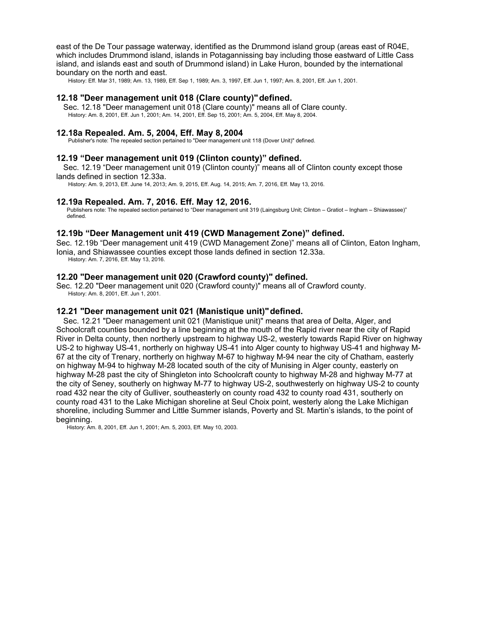east of the De Tour passage waterway, identified as the Drummond island group (areas east of R04E, which includes Drummond island, islands in Potagannissing bay including those eastward of Little Cass island, and islands east and south of Drummond island) in Lake Huron, bounded by the international boundary on the north and east.

History: Eff. Mar 31, 1989; Am. 13, 1989, Eff. Sep 1, 1989; Am. 3, 1997, Eff. Jun 1, 1997; Am. 8, 2001, Eff. Jun 1, 2001.

## **12.18 "Deer management unit 018 (Clare county)"defined.**

Sec. 12.18 "Deer management unit 018 (Clare county)" means all of Clare county. History: Am. 8, 2001, Eff. Jun 1, 2001; Am. 14, 2001, Eff. Sep 15, 2001; Am. 5, 2004, Eff. May 8, 2004.

# **12.18a Repealed. Am. 5, 2004, Eff. May 8, 2004**

Publisher's note: The repealed section pertained to "Deer management unit 118 (Dover Unit)" defined.

### **12.19 "Deer management unit 019 (Clinton county)" defined.**

Sec. 12.19 "Deer management unit 019 (Clinton county)" means all of Clinton county except those lands defined in section 12.33a.

History: Am. 9, 2013, Eff. June 14, 2013; Am. 9, 2015, Eff. Aug. 14, 2015; Am. 7, 2016, Eff. May 13, 2016.

### **12.19a Repealed. Am. 7, 2016. Eff. May 12, 2016.**

Publishers note: The repealed section pertained to "Deer management unit 319 (Laingsburg Unit; Clinton – Gratiot – Ingham – Shiawassee)" defined.

### **12.19b "Deer Management unit 419 (CWD Management Zone)" defined.**

Sec. 12.19b "Deer management unit 419 (CWD Management Zone)" means all of Clinton, Eaton Ingham, Ionia, and Shiawassee counties except those lands defined in section 12.33a. History: Am. 7, 2016, Eff. May 13, 2016.

### **12.20 "Deer management unit 020 (Crawford county)" defined.**

Sec. 12.20 "Deer management unit 020 (Crawford county)" means all of Crawford county. History: Am. 8, 2001, Eff. Jun 1, 2001.

### **12.21 "Deer management unit 021 (Manistique unit)"defined.**

Sec. 12.21 "Deer management unit 021 (Manistique unit)" means that area of Delta, Alger, and Schoolcraft counties bounded by a line beginning at the mouth of the Rapid river near the city of Rapid River in Delta county, then northerly upstream to highway US-2, westerly towards Rapid River on highway US-2 to highway US-41, northerly on highway US-41 into Alger county to highway US-41 and highway M-67 at the city of Trenary, northerly on highway M-67 to highway M-94 near the city of Chatham, easterly on highway M-94 to highway M-28 located south of the city of Munising in Alger county, easterly on highway M-28 past the city of Shingleton into Schoolcraft county to highway M-28 and highway M-77 at the city of Seney, southerly on highway M-77 to highway US-2, southwesterly on highway US-2 to county road 432 near the city of Gulliver, southeasterly on county road 432 to county road 431, southerly on county road 431 to the Lake Michigan shoreline at Seul Choix point, westerly along the Lake Michigan shoreline, including Summer and Little Summer islands, Poverty and St. Martin's islands, to the point of beginning.

History: Am. 8, 2001, Eff. Jun 1, 2001; Am. 5, 2003, Eff. May 10, 2003.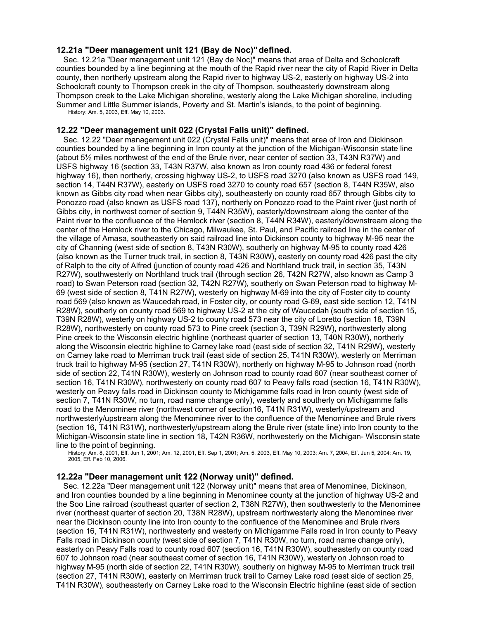# **12.21a "Deer management unit 121 (Bay de Noc)"defined.**

Sec. 12.21a "Deer management unit 121 (Bay de Noc)" means that area of Delta and Schoolcraft counties bounded by a line beginning at the mouth of the Rapid river near the city of Rapid River in Delta county, then northerly upstream along the Rapid river to highway US-2, easterly on highway US-2 into Schoolcraft county to Thompson creek in the city of Thompson, southeasterly downstream along Thompson creek to the Lake Michigan shoreline, westerly along the Lake Michigan shoreline, including Summer and Little Summer islands, Poverty and St. Martin's islands, to the point of beginning. History: Am. 5, 2003, Eff. May 10, 2003.

## **12.22 "Deer management unit 022 (Crystal Falls unit)" defined.**

Sec. 12.22 "Deer management unit 022 (Crystal Falls unit)" means that area of Iron and Dickinson counties bounded by a line beginning in Iron county at the junction of the Michigan-Wisconsin state line (about 5½ miles northwest of the end of the Brule river, near center of section 33, T43N R37W) and USFS highway 16 (section 33, T43N R37W, also known as Iron county road 436 or federal forest highway 16), then northerly, crossing highway US-2, to USFS road 3270 (also known as USFS road 149, section 14, T44N R37W), easterly on USFS road 3270 to county road 657 (section 8, T44N R35W, also known as Gibbs city road when near Gibbs city), southeasterly on county road 657 through Gibbs city to Ponozzo road (also known as USFS road 137), northerly on Ponozzo road to the Paint river (just north of Gibbs city, in northwest corner of section 9, T44N R35W), easterly/downstream along the center of the Paint river to the confluence of the Hemlock river (section 8, T44N R34W), easterly/downstream along the center of the Hemlock river to the Chicago, Milwaukee, St. Paul, and Pacific railroad line in the center of the village of Amasa, southeasterly on said railroad line into Dickinson county to highway M-95 near the city of Channing (west side of section 8, T43N R30W), southerly on highway M-95 to county road 426 (also known as the Turner truck trail, in section 8, T43N R30W), easterly on county road 426 past the city of Ralph to the city of Alfred (junction of county road 426 and Northland truck trail, in section 35, T43N R27W), southwesterly on Northland truck trail (through section 26, T42N R27W, also known as Camp 3 road) to Swan Peterson road (section 32, T42N R27W), southerly on Swan Peterson road to highway M-69 (west side of section 8, T41N R27W), westerly on highway M-69 into the city of Foster city to county road 569 (also known as Waucedah road, in Foster city, or county road G-69, east side section 12, T41N R28W), southerly on county road 569 to highway US-2 at the city of Waucedah (south side of section 15, T39N R28W), westerly on highway US-2 to county road 573 near the city of Loretto (section 18, T39N R28W), northwesterly on county road 573 to Pine creek (section 3, T39N R29W), northwesterly along Pine creek to the Wisconsin electric highline (northeast quarter of section 13, T40N R30W), northerly along the Wisconsin electric highline to Carney lake road (east side of section 32, T41N R29W), westerly on Carney lake road to Merriman truck trail (east side of section 25, T41N R30W), westerly on Merriman truck trail to highway M-95 (section 27, T41N R30W), northerly on highway M-95 to Johnson road (north side of section 22, T41N R30W), westerly on Johnson road to county road 607 (near southeast corner of section 16, T41N R30W), northwesterly on county road 607 to Peavy falls road (section 16, T41N R30W), westerly on Peavy falls road in Dickinson county to Michigamme falls road in Iron county (west side of section 7, T41N R30W, no turn, road name change only), westerly and southerly on Michigamme falls road to the Menominee river (northwest corner of section16, T41N R31W), westerly/upstream and northwesterly/upstream along the Menominee river to the confluence of the Menominee and Brule rivers (section 16, T41N R31W), northwesterly/upstream along the Brule river (state line) into Iron county to the Michigan-Wisconsin state line in section 18, T42N R36W, northwesterly on the Michigan- Wisconsin state line to the point of beginning.

History: Am. 8, 2001, Eff. Jun 1, 2001; Am. 12, 2001, Eff. Sep 1, 2001; Am. 5, 2003, Eff. May 10, 2003; Am. 7, 2004, Eff. Jun 5, 2004; Am. 19, 2005, Eff. Feb 10, 2006.

# **12.22a "Deer management unit 122 (Norway unit)" defined.**

Sec. 12.22a "Deer management unit 122 (Norway unit)" means that area of Menominee, Dickinson, and Iron counties bounded by a line beginning in Menominee county at the junction of highway US-2 and the Soo Line railroad (southeast quarter of section 2, T38N R27W), then southwesterly to the Menominee river (northeast quarter of section 20, T38N R28W), upstream northwesterly along the Menominee river near the Dickinson county line into Iron county to the confluence of the Menominee and Brule rivers (section 16, T41N R31W), northwesterly and westerly on Michigamme Falls road in Iron county to Peavy Falls road in Dickinson county (west side of section 7, T41N R30W, no turn, road name change only), easterly on Peavy Falls road to county road 607 (section 16, T41N R30W), southeasterly on county road 607 to Johnson road (near southeast corner of section 16, T41N R30W), westerly on Johnson road to highway M-95 (north side of section 22, T41N R30W), southerly on highway M-95 to Merriman truck trail (section 27, T41N R30W), easterly on Merriman truck trail to Carney Lake road (east side of section 25, T41N R30W), southeasterly on Carney Lake road to the Wisconsin Electric highline (east side of section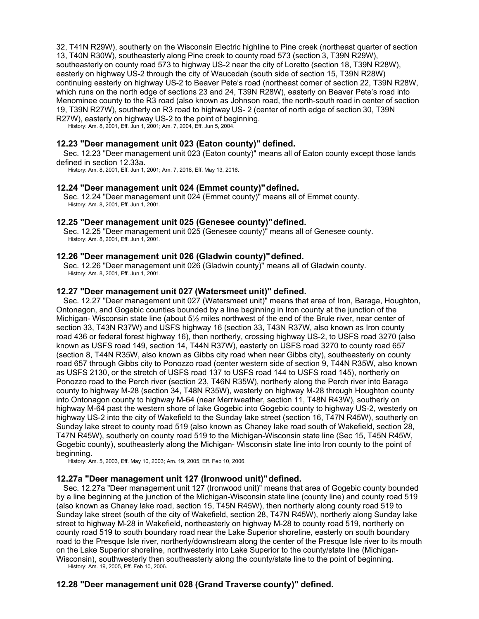32, T41N R29W), southerly on the Wisconsin Electric highline to Pine creek (northeast quarter of section 13, T40N R30W), southeasterly along Pine creek to county road 573 (section 3, T39N R29W), southeasterly on county road 573 to highway US-2 near the city of Loretto (section 18, T39N R28W), easterly on highway US-2 through the city of Waucedah (south side of section 15, T39N R28W) continuing easterly on highway US-2 to Beaver Pete's road (northeast corner of section 22, T39N R28W, which runs on the north edge of sections 23 and 24, T39N R28W), easterly on Beaver Pete's road into Menominee county to the R3 road (also known as Johnson road, the north-south road in center of section 19, T39N R27W), southerly on R3 road to highway US- 2 (center of north edge of section 30, T39N R27W), easterly on highway US-2 to the point of beginning.

History: Am. 8, 2001, Eff. Jun 1, 2001; Am. 7, 2004, Eff. Jun 5, 2004.

## **12.23 "Deer management unit 023 (Eaton county)" defined.**

Sec. 12.23 "Deer management unit 023 (Eaton county)" means all of Eaton county except those lands defined in section 12.33a.

History: Am. 8, 2001, Eff. Jun 1, 2001; Am. 7, 2016, Eff. May 13, 2016.

### **12.24 "Deer management unit 024 (Emmet county)"defined.**

Sec. 12.24 "Deer management unit 024 (Emmet county)" means all of Emmet county. History: Am. 8, 2001, Eff. Jun 1, 2001.

### **12.25 "Deer management unit 025 (Genesee county)"defined.**

Sec. 12.25 "Deer management unit 025 (Genesee county)" means all of Genesee county. History: Am. 8, 2001, Eff. Jun 1, 2001.

### **12.26 "Deer management unit 026 (Gladwin county)"defined.**

Sec. 12.26 "Deer management unit 026 (Gladwin county)" means all of Gladwin county. History: Am. 8, 2001, Eff. Jun 1, 2001.

#### **12.27 "Deer management unit 027 (Watersmeet unit)" defined.**

Sec. 12.27 "Deer management unit 027 (Watersmeet unit)" means that area of Iron, Baraga, Houghton, Ontonagon, and Gogebic counties bounded by a line beginning in Iron county at the junction of the Michigan- Wisconsin state line (about 5½ miles northwest of the end of the Brule river, near center of section 33, T43N R37W) and USFS highway 16 (section 33, T43N R37W, also known as Iron county road 436 or federal forest highway 16), then northerly, crossing highway US-2, to USFS road 3270 (also known as USFS road 149, section 14, T44N R37W), easterly on USFS road 3270 to county road 657 (section 8, T44N R35W, also known as Gibbs city road when near Gibbs city), southeasterly on county road 657 through Gibbs city to Ponozzo road (center western side of section 9, T44N R35W, also known as USFS 2130, or the stretch of USFS road 137 to USFS road 144 to USFS road 145), northerly on Ponozzo road to the Perch river (section 23, T46N R35W), northerly along the Perch river into Baraga county to highway M-28 (section 34, T48N R35W), westerly on highway M-28 through Houghton county into Ontonagon county to highway M-64 (near Merriweather, section 11, T48N R43W), southerly on highway M-64 past the western shore of lake Gogebic into Gogebic county to highway US-2, westerly on highway US-2 into the city of Wakefield to the Sunday lake street (section 16, T47N R45W), southerly on Sunday lake street to county road 519 (also known as Chaney lake road south of Wakefield, section 28, T47N R45W), southerly on county road 519 to the Michigan-Wisconsin state line (Sec 15, T45N R45W, Gogebic county), southeasterly along the Michigan- Wisconsin state line into Iron county to the point of beginning.

History: Am. 5, 2003, Eff. May 10, 2003; Am. 19, 2005, Eff. Feb 10, 2006.

### **12.27a "Deer management unit 127 (Ironwood unit)"defined.**

Sec. 12.27a "Deer management unit 127 (Ironwood unit)" means that area of Gogebic county bounded by a line beginning at the junction of the Michigan-Wisconsin state line (county line) and county road 519 (also known as Chaney lake road, section 15, T45N R45W), then northerly along county road 519 to Sunday lake street (south of the city of Wakefield, section 28, T47N R45W), northerly along Sunday lake street to highway M-28 in Wakefield, northeasterly on highway M-28 to county road 519, northerly on county road 519 to south boundary road near the Lake Superior shoreline, easterly on south boundary road to the Presque Isle river, northerly/downstream along the center of the Presque Isle river to its mouth on the Lake Superior shoreline, northwesterly into Lake Superior to the county/state line (Michigan-Wisconsin), southwesterly then southeasterly along the county/state line to the point of beginning.

History: Am. 19, 2005, Eff. Feb 10, 2006.

# **12.28 "Deer management unit 028 (Grand Traverse county)" defined.**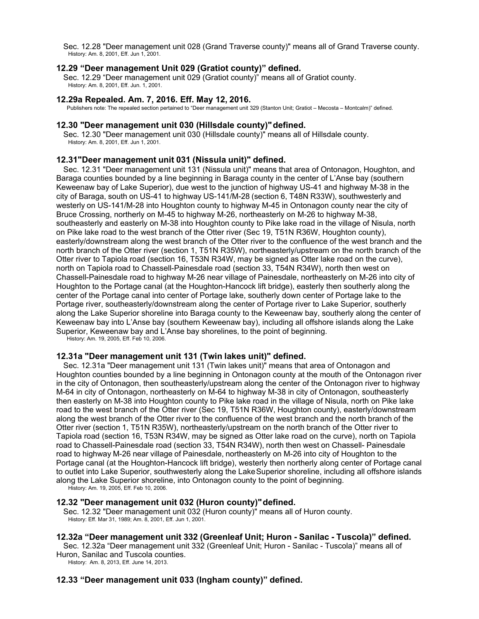Sec. 12.28 "Deer management unit 028 (Grand Traverse county)" means all of Grand Traverse county. History: Am. 8, 2001, Eff. Jun 1, 2001.

# **12.29 "Deer management Unit 029 (Gratiot county)" defined.**

Sec. 12.29 "Deer management unit 029 (Gratiot county)" means all of Gratiot county. History: Am. 8, 2001, Eff. Jun. 1, 2001.

# **12.29a Repealed. Am. 7, 2016. Eff. May 12, 2016.**

Publishers note: The repealed section pertained to "Deer management unit 329 (Stanton Unit; Gratiot – Mecosta – Montcalm)" defined.

### **12.30 "Deer management unit 030 (Hillsdale county)"defined.**

Sec. 12.30 "Deer management unit 030 (Hillsdale county)" means all of Hillsdale county. History: Am. 8, 2001, Eff. Jun 1, 2001.

# **12.31"Deer management unit 031 (Nissula unit)" defined.**

Sec. 12.31 "Deer management unit 131 (Nissula unit)" means that area of Ontonagon, Houghton, and Baraga counties bounded by a line beginning in Baraga county in the center of L'Anse bay (southern Keweenaw bay of Lake Superior), due west to the junction of highway US-41 and highway M-38 in the city of Baraga, south on US-41 to highway US-141/M-28 (section 6, T48N R33W), southwesterly and westerly on US-141/M-28 into Houghton county to highway M-45 in Ontonagon county near the city of Bruce Crossing, northerly on M-45 to highway M-26, northeasterly on M-26 to highway M-38, southeasterly and easterly on M-38 into Houghton county to Pike lake road in the village of Nisula, north on Pike lake road to the west branch of the Otter river (Sec 19, T51N R36W, Houghton county), easterly/downstream along the west branch of the Otter river to the confluence of the west branch and the north branch of the Otter river (section 1, T51N R35W), northeasterly/upstream on the north branch of the Otter river to Tapiola road (section 16, T53N R34W, may be signed as Otter lake road on the curve), north on Tapiola road to Chassell-Painesdale road (section 33, T54N R34W), north then west on Chassell-Painesdale road to highway M-26 near village of Painesdale, northeasterly on M-26 into city of Houghton to the Portage canal (at the Houghton-Hancock lift bridge), easterly then southerly along the center of the Portage canal into center of Portage lake, southerly down center of Portage lake to the Portage river, southeasterly/downstream along the center of Portage river to Lake Superior, southerly along the Lake Superior shoreline into Baraga county to the Keweenaw bay, southerly along the center of Keweenaw bay into L'Anse bay (southern Keweenaw bay), including all offshore islands along the Lake Superior, Keweenaw bay and L'Anse bay shorelines, to the point of beginning.

History: Am. 19, 2005, Eff. Feb 10, 2006.

### **12.31a "Deer management unit 131 (Twin lakes unit)" defined.**

Sec. 12.31a "Deer management unit 131 (Twin lakes unit)" means that area of Ontonagon and Houghton counties bounded by a line beginning in Ontonagon county at the mouth of the Ontonagon river in the city of Ontonagon, then southeasterly/upstream along the center of the Ontonagon river to highway M-64 in city of Ontonagon, northeasterly on M-64 to highway M-38 in city of Ontonagon, southeasterly then easterly on M-38 into Houghton county to Pike lake road in the village of Nisula, north on Pike lake road to the west branch of the Otter river (Sec 19, T51N R36W, Houghton county), easterly/downstream along the west branch of the Otter river to the confluence of the west branch and the north branch of the Otter river (section 1, T51N R35W), northeasterly/upstream on the north branch of the Otter river to Tapiola road (section 16, T53N R34W, may be signed as Otter lake road on the curve), north on Tapiola road to Chassell-Painesdale road (section 33, T54N R34W), north then west on Chassell- Painesdale road to highway M-26 near village of Painesdale, northeasterly on M-26 into city of Houghton to the Portage canal (at the Houghton-Hancock lift bridge), westerly then northerly along center of Portage canal to outlet into Lake Superior, southwesterly along the LakeSuperior shoreline, including all offshore islands along the Lake Superior shoreline, into Ontonagon county to the point of beginning.

History: Am. 19, 2005, Eff. Feb 10, 2006.

### **12.32 "Deer management unit 032 (Huron county)"defined.**

Sec. 12.32 "Deer management unit 032 (Huron county)" means all of Huron county. History: Eff. Mar 31, 1989; Am. 8, 2001, Eff. Jun 1, 2001.

# **12.32a "Deer management unit 332 (Greenleaf Unit; Huron - Sanilac - Tuscola)" defined.**

Sec. 12.32a "Deer management unit 332 (Greenleaf Unit; Huron - Sanilac - Tuscola)" means all of Huron, Sanilac and Tuscola counties.

History: Am. 8, 2013, Eff. June 14, 2013.

### **12.33 "Deer management unit 033 (Ingham county)" defined.**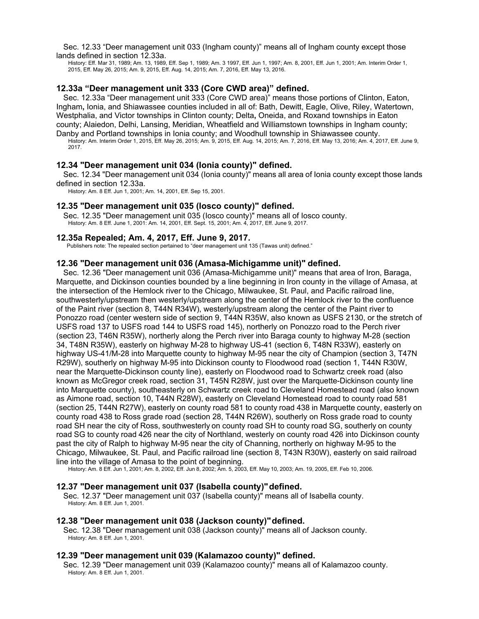Sec. 12.33 "Deer management unit 033 (Ingham county)" means all of Ingham county except those lands defined in section 12.33a.

History: Eff. Mar 31, 1989; Am. 13, 1989, Eff. Sep 1, 1989; Am. 3 1997, Eff. Jun 1, 1997; Am. 8, 2001, Eff. Jun 1, 2001; Am. Interim Order 1, 2015, Eff. May 26, 2015; Am. 9, 2015, Eff. Aug. 14, 2015; Am. 7, 2016, Eff. May 13, 2016.

### **12.33a "Deer management unit 333 (Core CWD area)" defined.**

Sec. 12.33a "Deer management unit 333 (Core CWD area)" means those portions of Clinton, Eaton, Ingham**,** Ionia, and Shiawassee counties included in all of: Bath, Dewitt, Eagle, Olive, Riley, Watertown, Westphalia, and Victor townships in Clinton county; Delta**,** Oneida, and Roxand townships in Eaton county; Alaiedon, Delhi, Lansing, Meridian, Wheatfield and Williamstown townships in Ingham county;

Danby and Portland townships in Ionia county; and Woodhull township in Shiawassee county. History: Am. Interim Order 1, 2015, Eff. May 26, 2015; Am. 9, 2015, Eff. Aug. 14, 2015; Am. 7, 2016, Eff. May 13, 2016; Am. 4, 2017, Eff. June 9, 2017.

#### **12.34 "Deer management unit 034 (Ionia county)" defined.**

Sec. 12.34 "Deer management unit 034 (Ionia county)" means all area of Ionia county except those lands defined in section 12.33a.

History: Am. 8 Eff. Jun 1, 2001; Am. 14, 2001, Eff. Sep 15, 2001.

#### **12.35 "Deer management unit 035 (Iosco county)" defined.**

Sec. 12.35 "Deer management unit 035 (Iosco county)" means all of Iosco county. History: Am. 8 Eff. June 1, 2001: Am. 14, 2001, Eff. Sept. 15, 2001; Am. 4, 2017, Eff. June 9, 2017.

#### **12.35a Repealed; Am. 4, 2017, Eff. June 9, 2017.**

Publishers note: The repealed section pertained to "deer management unit 135 (Tawas unit) defined."

### **12.36 "Deer management unit 036 (Amasa-Michigamme unit)" defined.**

Sec. 12.36 "Deer management unit 036 (Amasa-Michigamme unit)" means that area of Iron, Baraga, Marquette, and Dickinson counties bounded by a line beginning in Iron county in the village of Amasa, at the intersection of the Hemlock river to the Chicago, Milwaukee, St. Paul, and Pacific railroad line, southwesterly/upstream then westerly/upstream along the center of the Hemlock river to the confluence of the Paint river (section 8, T44N R34W), westerly/upstream along the center of the Paint river to Ponozzo road (center western side of section 9, T44N R35W, also known as USFS 2130, or the stretch of USFS road 137 to USFS road 144 to USFS road 145), northerly on Ponozzo road to the Perch river (section 23, T46N R35W), northerly along the Perch river into Baraga county to highway M-28 (section 34, T48N R35W), easterly on highway M-28 to highway US-41 (section 6, T48N R33W), easterly on highway US-41/M-28 into Marquette county to highway M-95 near the city of Champion (section 3, T47N R29W), southerly on highway M-95 into Dickinson county to Floodwood road (section 1, T44N R30W, near the Marquette-Dickinson county line), easterly on Floodwood road to Schwartz creek road (also known as McGregor creek road, section 31, T45N R28W, just over the Marquette-Dickinson county line into Marquette county), southeasterly on Schwartz creek road to Cleveland Homestead road (also known as Aimone road, section 10, T44N R28W), easterly on Cleveland Homestead road to county road 581 (section 25, T44N R27W), easterly on county road 581 to county road 438 in Marquette county, easterly on county road 438 to Ross grade road (section 28, T44N R26W), southerly on Ross grade road to county road SH near the city of Ross, southwesterly on county road SH to county road SG, southerly on county road SG to county road 426 near the city of Northland, westerly on county road 426 into Dickinson county past the city of Ralph to highway M-95 near the city of Channing, northerly on highway M-95 to the Chicago, Milwaukee, St. Paul, and Pacific railroad line (section 8, T43N R30W), easterly on said railroad line into the village of Amasa to the point of beginning.

History: Am. 8 Eff. Jun 1, 2001; Am. 8, 2002, Eff. Jun 8, 2002; Am. 5, 2003, Eff. May 10, 2003; Am. 19, 2005, Eff. Feb 10, 2006.

#### **12.37 "Deer management unit 037 (Isabella county)"defined.**

Sec. 12.37 "Deer management unit 037 (Isabella county)" means all of Isabella county. History: Am. 8 Eff. Jun 1, 2001.

#### **12.38 "Deer management unit 038 (Jackson county)"defined.**

Sec. 12.38 "Deer management unit 038 (Jackson county)" means all of Jackson county. History: Am. 8 Eff. Jun 1, 2001.

#### **12.39 "Deer management unit 039 (Kalamazoo county)" defined.**

Sec. 12.39 "Deer management unit 039 (Kalamazoo county)" means all of Kalamazoo county. History: Am. 8 Eff. Jun 1, 2001.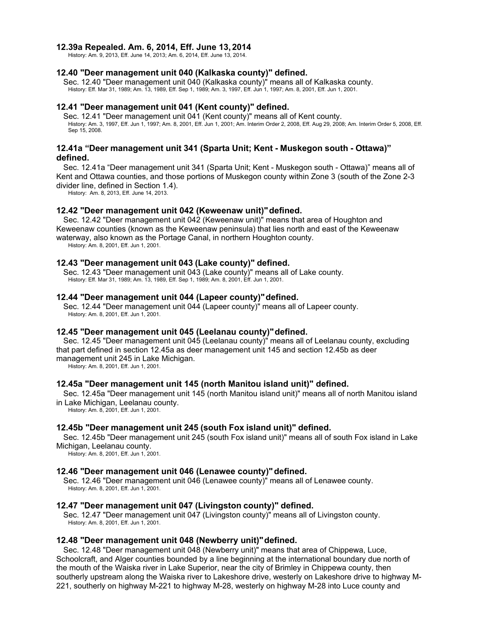## **12.39a Repealed. Am. 6, 2014, Eff. June 13, 2014**

History: Am. 9, 2013, Eff. June 14, 2013; Am. 6, 2014, Eff. June 13, 2014.

## **12.40 "Deer management unit 040 (Kalkaska county)" defined.**

Sec. 12.40 "Deer management unit 040 (Kalkaska county)" means all of Kalkaska county. History: Eff. Mar 31, 1989; Am. 13, 1989, Eff. Sep 1, 1989; Am. 3, 1997, Eff. Jun 1, 1997; Am. 8, 2001, Eff. Jun 1, 2001.

# **12.41 "Deer management unit 041 (Kent county)" defined.**

Sec. 12.41 "Deer management unit 041 (Kent county)" means all of Kent county. History: Am. 3, 1997, Eff. Jun 1, 1997; Am. 8, 2001, Eff. Jun 1, 2001; Am. Interim Order 2, 2008, Eff. Aug 29, 2008; Am. Interim Order 5, 2008, Eff. Sep 15, 2008.

### **12.41a "Deer management unit 341 (Sparta Unit; Kent - Muskegon south - Ottawa)" defined.**

Sec. 12.41a "Deer management unit 341 (Sparta Unit; Kent - Muskegon south - Ottawa)" means all of Kent and Ottawa counties, and those portions of Muskegon county within Zone 3 (south of the Zone 2-3 divider line, defined in Section 1.4).

History: Am. 8, 2013, Eff. June 14, 2013.

### **12.42 "Deer management unit 042 (Keweenaw unit)"defined.**

Sec. 12.42 "Deer management unit 042 (Keweenaw unit)" means that area of Houghton and Keweenaw counties (known as the Keweenaw peninsula) that lies north and east of the Keweenaw waterway, also known as the Portage Canal, in northern Houghton county.

History: Am. 8, 2001, Eff. Jun 1, 2001.

### **12.43 "Deer management unit 043 (Lake county)" defined.**

Sec. 12.43 "Deer management unit 043 (Lake county)" means all of Lake county. History: Eff. Mar 31, 1989; Am. 13, 1989, Eff. Sep 1, 1989; Am. 8, 2001, Eff. Jun 1, 2001.

#### **12.44 "Deer management unit 044 (Lapeer county)"defined.**

Sec. 12.44 "Deer management unit 044 (Lapeer county)" means all of Lapeer county. History: Am. 8, 2001, Eff. Jun 1, 2001.

### **12.45 "Deer management unit 045 (Leelanau county)"defined.**

Sec. 12.45 "Deer management unit 045 (Leelanau county)" means all of Leelanau county, excluding that part defined in section 12.45a as deer management unit 145 and section 12.45b as deer management unit 245 in Lake Michigan.

History: Am. 8, 2001, Eff. Jun 1, 2001.

### **12.45a "Deer management unit 145 (north Manitou island unit)" defined.**

Sec. 12.45a "Deer management unit 145 (north Manitou island unit)" means all of north Manitou island in Lake Michigan, Leelanau county.

History: Am. 8, 2001, Eff. Jun 1, 2001.

### **12.45b "Deer management unit 245 (south Fox island unit)" defined.**

Sec. 12.45b "Deer management unit 245 (south Fox island unit)" means all of south Fox island in Lake Michigan, Leelanau county.

History: Am. 8, 2001, Eff. Jun 1, 2001.

### **12.46 "Deer management unit 046 (Lenawee county)"defined.**

Sec. 12.46 "Deer management unit 046 (Lenawee county)" means all of Lenawee county. History: Am. 8, 2001, Eff. Jun 1, 2001.

### **12.47 "Deer management unit 047 (Livingston county)" defined.**

Sec. 12.47 "Deer management unit 047 (Livingston county)" means all of Livingston county. History: Am. 8, 2001, Eff. Jun 1, 2001.

### **12.48 "Deer management unit 048 (Newberry unit)"defined.**

Sec. 12.48 "Deer management unit 048 (Newberry unit)" means that area of Chippewa, Luce, Schoolcraft, and Alger counties bounded by a line beginning at the international boundary due north of the mouth of the Waiska river in Lake Superior, near the city of Brimley in Chippewa county, then southerly upstream along the Waiska river to Lakeshore drive, westerly on Lakeshore drive to highway M-221, southerly on highway M-221 to highway M-28, westerly on highway M-28 into Luce county and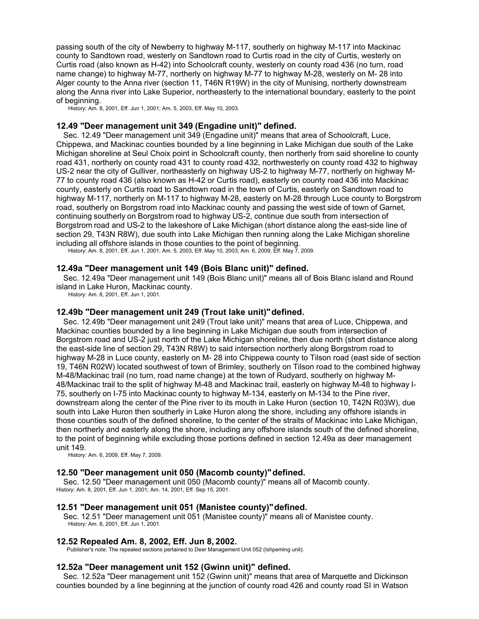passing south of the city of Newberry to highway M-117, southerly on highway M-117 into Mackinac county to Sandtown road, westerly on Sandtown road to Curtis road in the city of Curtis, westerly on Curtis road (also known as H-42) into Schoolcraft county, westerly on county road 436 (no turn, road name change) to highway M-77, northerly on highway M-77 to highway M-28, westerly on M- 28 into Alger county to the Anna river (section 11, T46N R19W) in the city of Munising, northerly downstream along the Anna river into Lake Superior, northeasterly to the international boundary, easterly to the point of beginning.

History: Am. 8, 2001, Eff. Jun 1, 2001; Am. 5, 2003, Eff. May 10, 2003.

### **12.49 "Deer management unit 349 (Engadine unit)" defined.**

Sec. 12.49 "Deer management unit 349 (Engadine unit)" means that area of Schoolcraft, Luce, Chippewa, and Mackinac counties bounded by a line beginning in Lake Michigan due south of the Lake Michigan shoreline at Seul Choix point in Schoolcraft county, then northerly from said shoreline to county road 431, northerly on county road 431 to county road 432, northwesterly on county road 432 to highway US-2 near the city of Gulliver, northeasterly on highway US-2 to highway M-77, northerly on highway M-77 to county road 436 (also known as H-42 or Curtis road), easterly on county road 436 into Mackinac county, easterly on Curtis road to Sandtown road in the town of Curtis, easterly on Sandtown road to highway M-117, northerly on M-117 to highway M-28, easterly on M-28 through Luce county to Borgstrom road, southerly on Borgstrom road into Mackinac county and passing the west side of town of Garnet, continuing southerly on Borgstrom road to highway US-2, continue due south from intersection of Borgstrom road and US-2 to the lakeshore of Lake Michigan (short distance along the east-side line of section 29, T43N R8W), due south into Lake Michigan then running along the Lake Michigan shoreline including all offshore islands in those counties to the point of beginning.

History: Am. 8, 2001, Eff. Jun 1, 2001; Am. 5, 2003, Eff. May 10, 2003; Am. 6, 2009, Eff. May 7, 2009.

### **12.49a "Deer management unit 149 (Bois Blanc unit)" defined.**

Sec. 12.49a "Deer management unit 149 (Bois Blanc unit)" means all of Bois Blanc island and Round island in Lake Huron, Mackinac county.

History: Am. 8, 2001, Eff. Jun 1, 2001.

#### **12.49b "Deer management unit 249 (Trout lake unit)"defined.**

Sec. 12.49b "Deer management unit 249 (Trout lake unit)" means that area of Luce, Chippewa, and Mackinac counties bounded by a line beginning in Lake Michigan due south from intersection of Borgstrom road and US-2 just north of the Lake Michigan shoreline, then due north (short distance along the east-side line of section 29, T43N R8W) to said intersection northerly along Borgstrom road to highway M-28 in Luce county, easterly on M- 28 into Chippewa county to Tilson road (east side of section 19, T46N R02W) located southwest of town of Brimley, southerly on Tilson road to the combined highway M-48/Mackinac trail (no turn, road name change) at the town of Rudyard, southerly on highway M-48/Mackinac trail to the split of highway M-48 and Mackinac trail, easterly on highway M-48 to highway I-75, southerly on I-75 into Mackinac county to highway M-134, easterly on M-134 to the Pine river, downstream along the center of the Pine river to its mouth in Lake Huron (section 10, T42N R03W), due south into Lake Huron then southerly in Lake Huron along the shore, including any offshore islands in those counties south of the defined shoreline, to the center of the straits of Mackinac into Lake Michigan, then northerly and easterly along the shore, including any offshore islands south of the defined shoreline, to the point of beginning while excluding those portions defined in section 12.49a as deer management unit 149.

History: Am. 6, 2009, Eff. May 7, 2009.

### **12.50 "Deer management unit 050 (Macomb county)"defined.**

Sec. 12.50 "Deer management unit 050 (Macomb county)" means all of Macomb county. History: Am. 8, 2001, Eff. Jun 1, 2001; Am. 14, 2001, Eff. Sep 15, 2001.

#### **12.51 "Deer management unit 051 (Manistee county)"defined.**

Sec. 12.51 "Deer management unit 051 (Manistee county)" means all of Manistee county. History: Am. 8, 2001, Eff. Jun 1, 2001.

# **12.52 Repealed Am. 8, 2002, Eff. Jun 8, 2002.**

Publisher's note: The repealed sections pertained to Deer Management Unit 052 (Ishpeming unit).

# **12.52a "Deer management unit 152 (Gwinn unit)" defined.**

Sec. 12.52a "Deer management unit 152 (Gwinn unit)" means that area of Marquette and Dickinson counties bounded by a line beginning at the junction of county road 426 and county road SI in Watson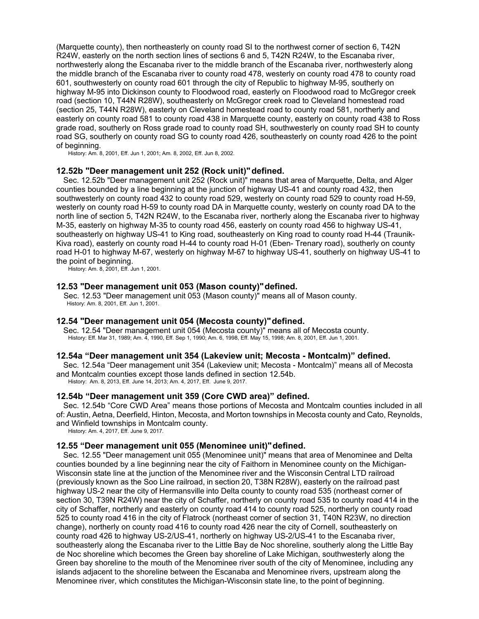(Marquette county), then northeasterly on county road SI to the northwest corner of section 6, T42N R24W, easterly on the north section lines of sections 6 and 5, T42N R24W, to the Escanaba river, northwesterly along the Escanaba river to the middle branch of the Escanaba river, northwesterly along the middle branch of the Escanaba river to county road 478, westerly on county road 478 to county road 601, southwesterly on county road 601 through the city of Republic to highway M-95, southerly on highway M-95 into Dickinson county to Floodwood road, easterly on Floodwood road to McGregor creek road (section 10, T44N R28W), southeasterly on McGregor creek road to Cleveland homestead road (section 25, T44N R28W), easterly on Cleveland homestead road to county road 581, northerly and easterly on county road 581 to county road 438 in Marquette county, easterly on county road 438 to Ross grade road, southerly on Ross grade road to county road SH, southwesterly on county road SH to county road SG, southerly on county road SG to county road 426, southeasterly on county road 426 to the point of beginning.

History: Am. 8, 2001, Eff. Jun 1, 2001; Am. 8, 2002, Eff. Jun 8, 2002.

### **12.52b "Deer management unit 252 (Rock unit)"defined.**

Sec. 12.52b "Deer management unit 252 (Rock unit)" means that area of Marquette, Delta, and Alger counties bounded by a line beginning at the junction of highway US-41 and county road 432, then southwesterly on county road 432 to county road 529, westerly on county road 529 to county road H-59, westerly on county road H-59 to county road DA in Marquette county, westerly on county road DA to the north line of section 5, T42N R24W, to the Escanaba river, northerly along the Escanaba river to highway M-35, easterly on highway M-35 to county road 456, easterly on county road 456 to highway US-41, southeasterly on highway US-41 to King road, southeasterly on King road to county road H-44 (Traunik-Kiva road), easterly on county road H-44 to county road H-01 (Eben- Trenary road), southerly on county road H-01 to highway M-67, westerly on highway M-67 to highway US-41, southerly on highway US-41 to the point of beginning.

History: Am. 8, 2001, Eff. Jun 1, 2001.

### **12.53 "Deer management unit 053 (Mason county)"defined.**

Sec. 12.53 "Deer management unit 053 (Mason county)" means all of Mason county. History: Am. 8, 2001, Eff. Jun 1, 2001.

#### **12.54 "Deer management unit 054 (Mecosta county)"defined.**

Sec. 12.54 "Deer management unit 054 (Mecosta county)" means all of Mecosta county. History: Eff. Mar 31, 1989; Am. 4, 1990, Eff. Sep 1, 1990; Am. 6, 1998, Eff. May 15, 1998; Am. 8, 2001, Eff. Jun 1, 2001.

#### **12.54a "Deer management unit 354 (Lakeview unit; Mecosta - Montcalm)" defined.**

Sec. 12.54a "Deer management unit 354 (Lakeview unit; Mecosta - Montcalm)" means all of Mecosta and Montcalm counties except those lands defined in section 12.54b.

History: Am. 8, 2013, Eff. June 14, 2013; Am. 4, 2017, Eff. June 9, 2017.

### **12.54b "Deer management unit 359 (Core CWD area)" defined.**

Sec. 12.54b "Core CWD Area" means those portions of Mecosta and Montcalm counties included in all of: Austin, Aetna, Deerfield, Hinton, Mecosta, and Morton townships in Mecosta county and Cato, Reynolds, and Winfield townships in Montcalm county.

History: Am. 4, 2017, Eff. June 9, 2017.

#### **12.55 "Deer management unit 055 (Menominee unit)"defined.**

Sec. 12.55 "Deer management unit 055 (Menominee unit)" means that area of Menominee and Delta counties bounded by a line beginning near the city of Faithorn in Menominee county on the Michigan-Wisconsin state line at the junction of the Menominee river and the Wisconsin Central LTD railroad (previously known as the Soo Line railroad, in section 20, T38N R28W), easterly on the railroad past highway US-2 near the city of Hermansville into Delta county to county road 535 (northeast corner of section 30, T39N R24W) near the city of Schaffer, northerly on county road 535 to county road 414 in the city of Schaffer, northerly and easterly on county road 414 to county road 525, northerly on county road 525 to county road 416 in the city of Flatrock (northeast corner of section 31, T40N R23W, no direction change), northerly on county road 416 to county road 426 near the city of Cornell, southeasterly on county road 426 to highway US-2/US-41, northerly on highway US-2/US-41 to the Escanaba river, southeasterly along the Escanaba river to the Little Bay de Noc shoreline, southerly along the Little Bay de Noc shoreline which becomes the Green bay shoreline of Lake Michigan, southwesterly along the Green bay shoreline to the mouth of the Menominee river south of the city of Menominee, including any islands adjacent to the shoreline between the Escanaba and Menominee rivers, upstream along the Menominee river, which constitutes the Michigan-Wisconsin state line, to the point of beginning.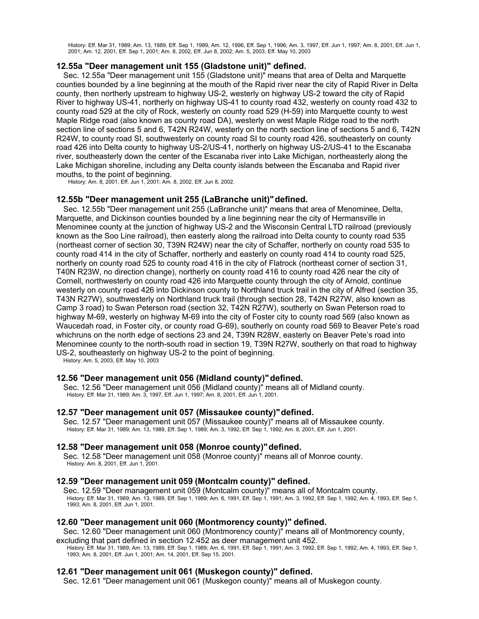History: Eff. Mar 31, 1989; Am. 13, 1989, Eff. Sep 1, 1989, Am. 12, 1996, Eff. Sep 1, 1996; Am. 3, 1997, Eff. Jun 1, 1997; Am. 8, 2001, Eff. Jun 1, 2001; Am. 12, 2001, Eff. Sep 1, 2001; Am. 8, 2002, Eff. Jun 8, 2002; Am. 5, 2003, Eff. May 10, 2003

# **12.55a "Deer management unit 155 (Gladstone unit)" defined.**

Sec. 12.55a "Deer management unit 155 (Gladstone unit)" means that area of Delta and Marquette counties bounded by a line beginning at the mouth of the Rapid river near the city of Rapid River in Delta county, then northerly upstream to highway US-2, westerly on highway US-2 toward the city of Rapid River to highway US-41, northerly on highway US-41 to county road 432, westerly on county road 432 to county road 529 at the city of Rock, westerly on county road 529 (H-59) into Marquette county to west Maple Ridge road (also known as county road DA), westerly on west Maple Ridge road to the north section line of sections 5 and 6, T42N R24W, westerly on the north section line of sections 5 and 6, T42N R24W, to county road SI, southwesterly on county road SI to county road 426, southeasterly on county road 426 into Delta county to highway US-2/US-41, northerly on highway US-2/US-41 to the Escanaba river, southeasterly down the center of the Escanaba river into Lake Michigan, northeasterly along the Lake Michigan shoreline, including any Delta county islands between the Escanaba and Rapid river mouths, to the point of beginning.

History: Am. 8, 2001, Eff. Jun 1, 2001; Am. 8, 2002, Eff. Jun 8, 2002.

### **12.55b "Deer management unit 255 (LaBranche unit)"defined.**

Sec. 12.55b "Deer management unit 255 (LaBranche unit)" means that area of Menominee, Delta, Marquette, and Dickinson counties bounded by a line beginning near the city of Hermansville in Menominee county at the junction of highway US-2 and the Wisconsin Central LTD railroad (previously known as the Soo Line railroad), then easterly along the railroad into Delta county to county road 535 (northeast corner of section 30, T39N R24W) near the city of Schaffer, northerly on county road 535 to county road 414 in the city of Schaffer, northerly and easterly on county road 414 to county road 525, northerly on county road 525 to county road 416 in the city of Flatrock (northeast corner of section 31, T40N R23W, no direction change), northerly on county road 416 to county road 426 near the city of Cornell, northwesterly on county road 426 into Marquette county through the city of Arnold, continue westerly on county road 426 into Dickinson county to Northland truck trail in the city of Alfred (section 35, T43N R27W), southwesterly on Northland truck trail (through section 28, T42N R27W, also known as Camp 3 road) to Swan Peterson road (section 32, T42N R27W), southerly on Swan Peterson road to highway M-69, westerly on highway M-69 into the city of Foster city to county road 569 (also known as Waucedah road, in Foster city, or county road G-69), southerly on county road 569 to Beaver Pete's road whichruns on the north edge of sections 23 and 24, T39N R28W, easterly on Beaver Pete's road into Menominee county to the north-south road in section 19, T39N R27W, southerly on that road to highway US-2, southeasterly on highway US-2 to the point of beginning.

History: Am. 5, 2003, Eff. May 10, 2003

### **12.56 "Deer management unit 056 (Midland county)"defined.**

Sec. 12.56 "Deer management unit 056 (Midland county)" means all of Midland county. History: Eff. Mar 31, 1989; Am. 3, 1997, Eff. Jun 1, 1997; Am. 8, 2001, Eff. Jun 1, 2001.

### **12.57 "Deer management unit 057 (Missaukee county)"defined.**

Sec. 12.57 "Deer management unit 057 (Missaukee county)" means all of Missaukee county. History: Eff. Mar 31, 1989; Am. 13, 1989, Eff. Sep 1, 1989; Am. 3, 1992, Eff. Sep 1, 1992; Am. 8, 2001, Eff. Jun 1, 2001.

### **12.58 "Deer management unit 058 (Monroe county)"defined.**

Sec. 12.58 "Deer management unit 058 (Monroe county)" means all of Monroe county. History: Am. 8, 2001, Eff. Jun 1, 2001.

### **12.59 "Deer management unit 059 (Montcalm county)" defined.**

Sec. 12.59 "Deer management unit 059 (Montcalm county)" means all of Montcalm county. History: Eff. Mar 31, 1989; Am. 13, 1989, Eff. Sep 1, 1989; Am. 6, 1991, Eff. Sep 1, 1991; Am. 3, 1992, Eff. Sep 1, 1992; Am. 4, 1993, Eff. Sep 1, 1993; Am. 8, 2001, Eff. Jun 1, 2001.

### **12.60 "Deer management unit 060 (Montmorency county)" defined.**

Sec. 12.60 "Deer management unit 060 (Montmorency county)" means all of Montmorency county,

excluding that part defined in section 12.452 as deer management unit 452.

History: Eff. Mar 31, 1989; Am. 13, 1989, Eff. Sep 1, 1989; Am. 6, 1991, Eff. Sep 1, 1991; Am. 3, 1992, Eff. Sep 1, 1992; Am. 4, 1993, Eff. Sep 1, 1993; Am. 8, 2001, Eff. Jun 1, 2001; Am. 14, 2001, Eff. Sep 15, 2001.

#### **12.61 "Deer management unit 061 (Muskegon county)" defined.**

Sec. 12.61 "Deer management unit 061 (Muskegon county)" means all of Muskegon county.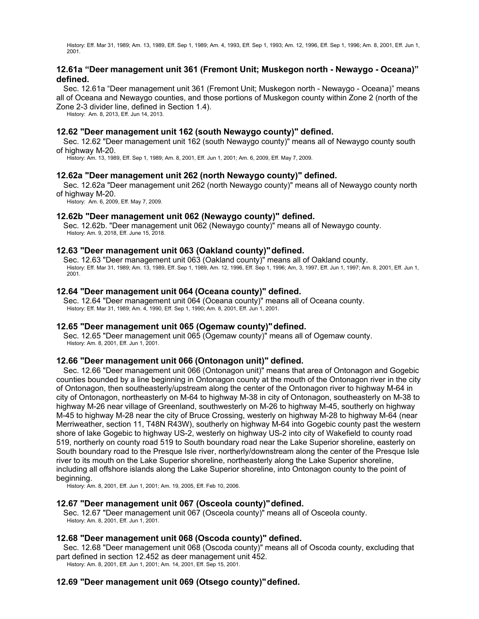History: Eff. Mar 31, 1989; Am. 13, 1989, Eff. Sep 1, 1989; Am. 4, 1993, Eff. Sep 1, 1993; Am. 12, 1996, Eff. Sep 1, 1996; Am. 8, 2001, Eff. Jun 1, 2001.

# **12.61a "Deer management unit 361 (Fremont Unit; Muskegon north - Newaygo - Oceana)" defined.**

Sec. 12.61a "Deer management unit 361 (Fremont Unit; Muskegon north - Newaygo - Oceana)" means all of Oceana and Newaygo counties, and those portions of Muskegon county within Zone 2 (north of the Zone 2-3 divider line, defined in Section 1.4).

History: Am. 8, 2013, Eff. Jun 14, 2013.

# **12.62 "Deer management unit 162 (south Newaygo county)" defined.**

Sec. 12.62 "Deer management unit 162 (south Newaygo county)" means all of Newaygo county south of highway M-20.

History: Am. 13, 1989, Eff. Sep 1, 1989; Am. 8, 2001, Eff. Jun 1, 2001; Am. 6, 2009, Eff. May 7, 2009.

# **12.62a "Deer management unit 262 (north Newaygo county)" defined.**

Sec. 12.62a "Deer management unit 262 (north Newaygo county)" means all of Newaygo county north of highway M-20.

History: Am. 6, 2009, Eff. May 7, 2009.

### **12.62b "Deer management unit 062 (Newaygo county)" defined.**

Sec. 12.62b. "Deer management unit 062 (Newaygo county)" means all of Newaygo county. History: Am. 9, 2018, Eff. June 15, 2018.

### **12.63 "Deer management unit 063 (Oakland county)"defined.**

Sec. 12.63 "Deer management unit 063 (Oakland county)" means all of Oakland county. History: Eff. Mar 31, 1989; Am. 13, 1989, Eff. Sep 1, 1989, Am. 12, 1996, Eff. Sep 1, 1996; Am, 3, 1997, Eff. Jun 1, 1997; Am. 8, 2001, Eff. Jun 1, 2001.

### **12.64 "Deer management unit 064 (Oceana county)" defined.**

Sec. 12.64 "Deer management unit 064 (Oceana county)" means all of Oceana county. History: Eff. Mar 31, 1989; Am. 4, 1990, Eff. Sep 1, 1990; Am. 8, 2001, Eff. Jun 1, 2001.

### **12.65 "Deer management unit 065 (Ogemaw county)"defined.**

Sec. 12.65 "Deer management unit 065 (Ogemaw county)" means all of Ogemaw county. History: Am. 8, 2001, Eff. Jun 1, 2001.

### **12.66 "Deer management unit 066 (Ontonagon unit)" defined.**

Sec. 12.66 "Deer management unit 066 (Ontonagon unit)" means that area of Ontonagon and Gogebic counties bounded by a line beginning in Ontonagon county at the mouth of the Ontonagon river in the city of Ontonagon, then southeasterly/upstream along the center of the Ontonagon river to highway M-64 in city of Ontonagon, northeasterly on M-64 to highway M-38 in city of Ontonagon, southeasterly on M-38 to highway M-26 near village of Greenland, southwesterly on M-26 to highway M-45, southerly on highway M-45 to highway M-28 near the city of Bruce Crossing, westerly on highway M-28 to highway M-64 (near Merriweather, section 11, T48N R43W), southerly on highway M-64 into Gogebic county past the western shore of lake Gogebic to highway US-2, westerly on highway US-2 into city of Wakefield to county road 519, northerly on county road 519 to South boundary road near the Lake Superior shoreline, easterly on South boundary road to the Presque Isle river, northerly/downstream along the center of the Presque Isle river to its mouth on the Lake Superior shoreline, northeasterly along the Lake Superior shoreline, including all offshore islands along the Lake Superior shoreline, into Ontonagon county to the point of beginning.

History: Am. 8, 2001, Eff. Jun 1, 2001; Am. 19, 2005, Eff. Feb 10, 2006.

#### **12.67 "Deer management unit 067 (Osceola county)"defined.**

Sec. 12.67 "Deer management unit 067 (Osceola county)" means all of Osceola county. History: Am. 8, 2001, Eff. Jun 1, 2001.

### **12.68 "Deer management unit 068 (Oscoda county)" defined.**

Sec. 12.68 "Deer management unit 068 (Oscoda county)" means all of Oscoda county, excluding that part defined in section 12.452 as deer management unit 452.

History: Am. 8, 2001, Eff. Jun 1, 2001; Am. 14, 2001, Eff. Sep 15, 2001.

### **12.69 "Deer management unit 069 (Otsego county)"defined.**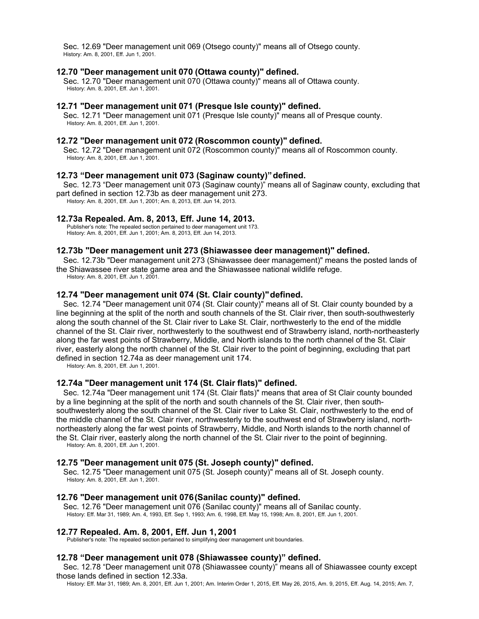Sec. 12.69 "Deer management unit 069 (Otsego county)" means all of Otsego county. History: Am. 8, 2001, Eff. Jun 1, 2001.

#### **12.70 "Deer management unit 070 (Ottawa county)" defined.**

Sec. 12.70 "Deer management unit 070 (Ottawa county)" means all of Ottawa county. History: Am. 8, 2001, Eff. Jun 1, 2001.

### **12.71 "Deer management unit 071 (Presque Isle county)" defined.**

Sec. 12.71 "Deer management unit 071 (Presque Isle county)" means all of Presque county. History: Am. 8, 2001, Eff. Jun 1, 2001.

### **12.72 "Deer management unit 072 (Roscommon county)" defined.**

Sec. 12.72 "Deer management unit 072 (Roscommon county)" means all of Roscommon county. History: Am. 8, 2001, Eff. Jun 1, 2001.

### **12.73 "Deer management unit 073 (Saginaw county)"defined.**

Sec. 12.73 "Deer management unit 073 (Saginaw county)" means all of Saginaw county, excluding that part defined in section 12.73b as deer management unit 273.

History: Am. 8, 2001, Eff. Jun 1, 2001; Am. 8, 2013, Eff. Jun 14, 2013.

### **12.73a Repealed. Am. 8, 2013, Eff. June 14, 2013.**

Publisher's note: The repealed section pertained to deer management unit 173. History: Am. 8, 2001, Eff. Jun 1, 2001; Am. 8, 2013, Eff. Jun 14, 2013.

#### **12.73b "Deer management unit 273 (Shiawassee deer management)" defined.**

Sec. 12.73b "Deer management unit 273 (Shiawassee deer management)" means the posted lands of the Shiawassee river state game area and the Shiawassee national wildlife refuge.

History: Am. 8, 2001, Eff. Jun 1, 2001.

### **12.74 "Deer management unit 074 (St. Clair county)"defined.**

Sec. 12.74 "Deer management unit 074 (St. Clair county)" means all of St. Clair county bounded by a line beginning at the split of the north and south channels of the St. Clair river, then south-southwesterly along the south channel of the St. Clair river to Lake St. Clair, northwesterly to the end of the middle channel of the St. Clair river, northwesterly to the southwest end of Strawberry island, north-northeasterly along the far west points of Strawberry, Middle, and North islands to the north channel of the St. Clair river, easterly along the north channel of the St. Clair river to the point of beginning, excluding that part defined in section 12.74a as deer management unit 174.

History: Am. 8, 2001, Eff. Jun 1, 2001.

### **12.74a "Deer management unit 174 (St. Clair flats)" defined.**

Sec. 12.74a "Deer management unit 174 (St. Clair flats)" means that area of St Clair county bounded by a line beginning at the split of the north and south channels of the St. Clair river, then southsouthwesterly along the south channel of the St. Clair river to Lake St. Clair, northwesterly to the end of the middle channel of the St. Clair river, northwesterly to the southwest end of Strawberry island, northnortheasterly along the far west points of Strawberry, Middle, and North islands to the north channel of the St. Clair river, easterly along the north channel of the St. Clair river to the point of beginning. History: Am. 8, 2001, Eff. Jun 1, 2001.

#### **12.75 "Deer management unit 075 (St. Joseph county)" defined.**

Sec. 12.75 "Deer management unit 075 (St. Joseph county)" means all of St. Joseph county. History: Am. 8, 2001, Eff. Jun 1, 2001.

#### **12.76 "Deer management unit 076(Sanilac county)" defined.**

Sec. 12.76 "Deer management unit 076 (Sanilac county)" means all of Sanilac county. History: Eff. Mar 31, 1989; Am. 4, 1993, Eff. Sep 1, 1993; Am. 6, 1998, Eff. May 15, 1998; Am. 8, 2001, Eff. Jun 1, 2001.

#### **12.77 Repealed. Am. 8, 2001, Eff. Jun 1, 2001**

Publisher's note: The repealed section pertained to simplifying deer management unit boundaries.

#### **12.78 "Deer management unit 078 (Shiawassee county)" defined.**

Sec. 12.78 "Deer management unit 078 (Shiawassee county)" means all of Shiawassee county except those lands defined in section 12.33a.

History: Eff. Mar 31, 1989; Am. 8, 2001, Eff. Jun 1, 2001; Am. Interim Order 1, 2015, Eff. May 26, 2015, Am. 9, 2015, Eff. Aug. 14, 2015; Am. 7,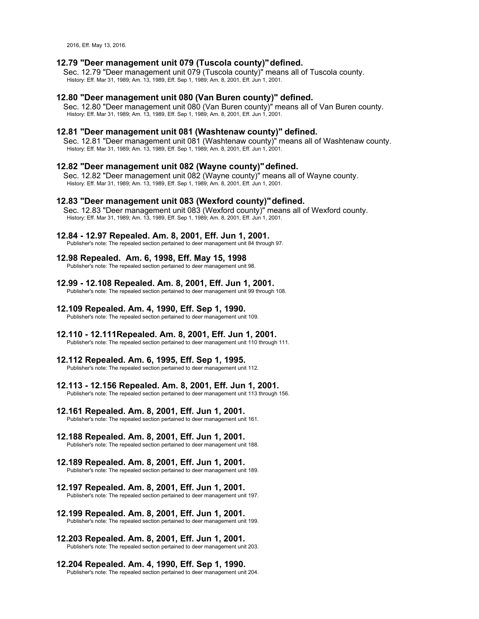2016, Eff. May 13, 2016.

### **12.79 "Deer management unit 079 (Tuscola county)"defined.**

Sec. 12.79 "Deer management unit 079 (Tuscola county)" means all of Tuscola county. History: Eff. Mar 31, 1989; Am. 13, 1989, Eff. Sep 1, 1989; Am. 8, 2001, Eff. Jun 1, 2001.

#### **12.80 "Deer management unit 080 (Van Buren county)" defined.**

Sec. 12.80 "Deer management unit 080 (Van Buren county)" means all of Van Buren county. History: Eff. Mar 31, 1989; Am. 13, 1989, Eff. Sep 1, 1989; Am. 8, 2001, Eff. Jun 1, 2001.

#### **12.81 "Deer management unit 081 (Washtenaw county)" defined.**

Sec. 12.81 "Deer management unit 081 (Washtenaw county)" means all of Washtenaw county. History: Eff. Mar 31, 1989; Am. 13, 1989, Eff. Sep 1, 1989; Am. 8, 2001, Eff. Jun 1, 2001.

#### **12.82 "Deer management unit 082 (Wayne county)"defined.**

Sec. 12.82 "Deer management unit 082 (Wayne county)" means all of Wayne county. History: Eff. Mar 31, 1989; Am. 13, 1989, Eff. Sep 1, 1989; Am. 8, 2001, Eff. Jun 1, 2001.

#### **12.83 "Deer management unit 083 (Wexford county)"defined.**

Sec. 12.83 "Deer management unit 083 (Wexford county)" means all of Wexford county. History: Eff. Mar 31, 1989; Am. 13, 1989, Eff. Sep 1, 1989; Am. 8, 2001, Eff. Jun 1, 2001.

#### **12.84 - 12.97 Repealed. Am. 8, 2001, Eff. Jun 1, 2001.**

Publisher's note: The repealed section pertained to deer management unit 84 through 97.

# **12.98 Repealed. Am. 6, 1998, Eff. May 15, 1998**

Publisher's note: The repealed section pertained to deer management unit 98.

**12.99 - 12.108 Repealed. Am. 8, 2001, Eff. Jun 1, 2001.** Publisher's note: The repealed section pertained to deer management unit 99 through 108.

### **12.109 Repealed. Am. 4, 1990, Eff. Sep 1, 1990.**

Publisher's note: The repealed section pertained to deer management unit 109.

### **12.110 - 12.111Repealed. Am. 8, 2001, Eff. Jun 1, 2001.**

Publisher's note: The repealed section pertained to deer management unit 110 through 111.

#### **12.112 Repealed. Am. 6, 1995, Eff. Sep 1, 1995.**

Publisher's note: The repealed section pertained to deer management unit 112.

#### **12.113 - 12.156 Repealed. Am. 8, 2001, Eff. Jun 1, 2001.**

Publisher's note: The repealed section pertained to deer management unit 113 through 156.

### **12.161 Repealed. Am. 8, 2001, Eff. Jun 1, 2001.**

Publisher's note: The repealed section pertained to deer management unit 161.

#### **12.188 Repealed. Am. 8, 2001, Eff. Jun 1, 2001.**

Publisher's note: The repealed section pertained to deer management unit 188.

#### **12.189 Repealed. Am. 8, 2001, Eff. Jun 1, 2001.**

Publisher's note: The repealed section pertained to deer management unit 189.

#### **12.197 Repealed. Am. 8, 2001, Eff. Jun 1, 2001.**

Publisher's note: The repealed section pertained to deer management unit 197.

#### **12.199 Repealed. Am. 8, 2001, Eff. Jun 1, 2001.**

Publisher's note: The repealed section pertained to deer management unit 199.

# **12.203 Repealed. Am. 8, 2001, Eff. Jun 1, 2001.**

Publisher's note: The repealed section pertained to deer management unit 203.

# **12.204 Repealed. Am. 4, 1990, Eff. Sep 1, 1990.**

Publisher's note: The repealed section pertained to deer management unit 204.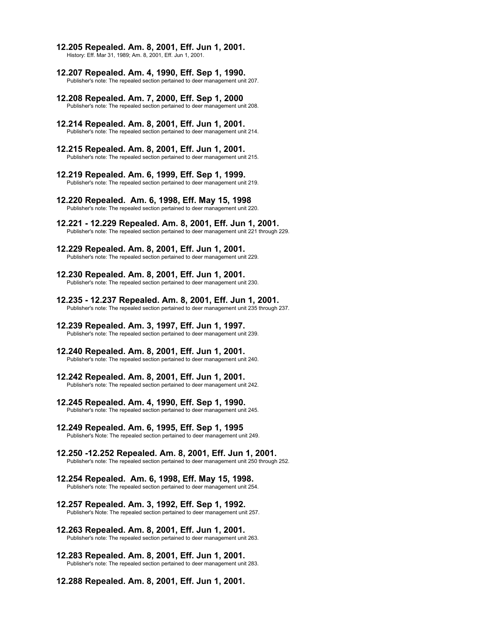**12.205 Repealed. Am. 8, 2001, Eff. Jun 1, 2001.**

History: Eff. Mar 31, 1989; Am. 8, 2001, Eff. Jun 1, 2001.

- **12.207 Repealed. Am. 4, 1990, Eff. Sep 1, 1990.** Publisher's note: The repealed section pertained to deer management unit 207.
- **12.208 Repealed. Am. 7, 2000, Eff. Sep 1, 2000** Publisher's note: The repealed section pertained to deer management unit 208.
- **12.214 Repealed. Am. 8, 2001, Eff. Jun 1, 2001.** Publisher's note: The repealed section pertained to deer management unit 214.
- **12.215 Repealed. Am. 8, 2001, Eff. Jun 1, 2001.** Publisher's note: The repealed section pertained to deer management unit 215.
- **12.219 Repealed. Am. 6, 1999, Eff. Sep 1, 1999.** Publisher's note: The repealed section pertained to deer management unit 219.
- **12.220 Repealed. Am. 6, 1998, Eff. May 15, 1998** Publisher's note: The repealed section pertained to deer management unit 220.
- **12.221 - 12.229 Repealed. Am. 8, 2001, Eff. Jun 1, 2001.** Publisher's note: The repealed section pertained to deer management unit 221 through 229.
- **12.229 Repealed. Am. 8, 2001, Eff. Jun 1, 2001.** Publisher's note: The repealed section pertained to deer management unit 229.
- **12.230 Repealed. Am. 8, 2001, Eff. Jun 1, 2001.** Publisher's note: The repealed section pertained to deer management unit 230.
- **12.235 - 12.237 Repealed. Am. 8, 2001, Eff. Jun 1, 2001.** Publisher's note: The repealed section pertained to deer management unit 235 through 237.
- **12.239 Repealed. Am. 3, 1997, Eff. Jun 1, 1997.** Publisher's note: The repealed section pertained to deer management unit 239.
- **12.240 Repealed. Am. 8, 2001, Eff. Jun 1, 2001.** Publisher's note: The repealed section pertained to deer management unit 240.
- **12.242 Repealed. Am. 8, 2001, Eff. Jun 1, 2001.** Publisher's note: The repealed section pertained to deer management unit 242.
- **12.245 Repealed. Am. 4, 1990, Eff. Sep 1, 1990.** Publisher's note: The repealed section pertained to deer management unit 245.
- **12.249 Repealed. Am. 6, 1995, Eff. Sep 1, 1995** Publisher's Note: The repealed section pertained to deer management unit 249.
- **12.250 -12.252 Repealed. Am. 8, 2001, Eff. Jun 1, 2001.** Publisher's note: The repealed section pertained to deer management unit 250 through 252.
- **12.254 Repealed. Am. 6, 1998, Eff. May 15, 1998.** Publisher's note: The repealed section pertained to deer management unit 254.
- **12.257 Repealed. Am. 3, 1992, Eff. Sep 1, 1992.** Publisher's Note: The repealed section pertained to deer management unit 257.
- **12.263 Repealed. Am. 8, 2001, Eff. Jun 1, 2001.** Publisher's note: The repealed section pertained to deer management unit 263.
- **12.283 Repealed. Am. 8, 2001, Eff. Jun 1, 2001.** Publisher's note: The repealed section pertained to deer management unit 283.
- **12.288 Repealed. Am. 8, 2001, Eff. Jun 1, 2001.**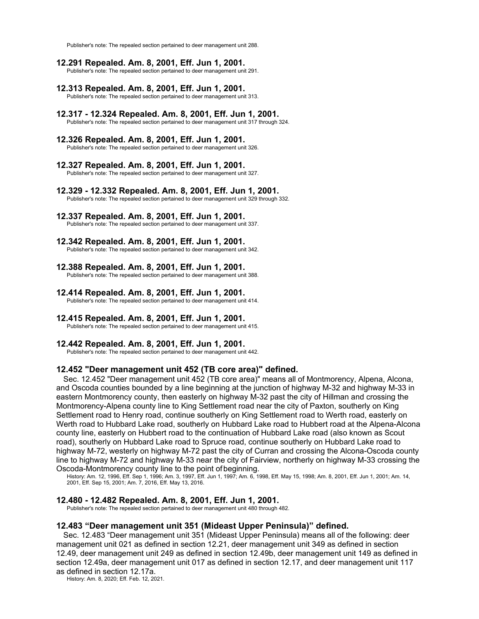Publisher's note: The repealed section pertained to deer management unit 288.

- **12.291 Repealed. Am. 8, 2001, Eff. Jun 1, 2001.** Publisher's note: The repealed section pertained to deer management unit 291.
- **12.313 Repealed. Am. 8, 2001, Eff. Jun 1, 2001.** Publisher's note: The repealed section pertained to deer management unit 313.
- **12.317 - 12.324 Repealed. Am. 8, 2001, Eff. Jun 1, 2001.** Publisher's note: The repealed section pertained to deer management unit 317 through 324.
- **12.326 Repealed. Am. 8, 2001, Eff. Jun 1, 2001.** Publisher's note: The repealed section pertained to deer management unit 326.
- **12.327 Repealed. Am. 8, 2001, Eff. Jun 1, 2001.** Publisher's note: The repealed section pertained to deer management unit 327.
- **12.329 - 12.332 Repealed. Am. 8, 2001, Eff. Jun 1, 2001.** Publisher's note: The repealed section pertained to deer management unit 329 through 332.
- **12.337 Repealed. Am. 8, 2001, Eff. Jun 1, 2001.** Publisher's note: The repealed section pertained to deer management unit 337.
- **12.342 Repealed. Am. 8, 2001, Eff. Jun 1, 2001.** Publisher's note: The repealed section pertained to deer management unit 342.
- **12.388 Repealed. Am. 8, 2001, Eff. Jun 1, 2001.** Publisher's note: The repealed section pertained to deer management unit 388.
- **12.414 Repealed. Am. 8, 2001, Eff. Jun 1, 2001.** Publisher's note: The repealed section pertained to deer management unit 414.
- **12.415 Repealed. Am. 8, 2001, Eff. Jun 1, 2001.** Publisher's note: The repealed section pertained to deer management unit 415.
- **12.442 Repealed. Am. 8, 2001, Eff. Jun 1, 2001.**

Publisher's note: The repealed section pertained to deer management unit 442.

### **12.452 "Deer management unit 452 (TB core area)" defined.**

Sec. 12.452 "Deer management unit 452 (TB core area)" means all of Montmorency, Alpena, Alcona, and Oscoda counties bounded by a line beginning at the junction of highway M-32 and highway M-33 in eastern Montmorency county, then easterly on highway M-32 past the city of Hillman and crossing the Montmorency-Alpena county line to King Settlement road near the city of Paxton, southerly on King Settlement road to Henry road, continue southerly on King Settlement road to Werth road, easterly on Werth road to Hubbard Lake road, southerly on Hubbard Lake road to Hubbert road at the Alpena-Alcona county line, easterly on Hubbert road to the continuation of Hubbard Lake road (also known as Scout road), southerly on Hubbard Lake road to Spruce road, continue southerly on Hubbard Lake road to highway M-72, westerly on highway M-72 past the city of Curran and crossing the Alcona-Oscoda county line to highway M-72 and highway M-33 near the city of Fairview, northerly on highway M-33 crossing the Oscoda-Montmorency county line to the point ofbeginning.

History: Am. 12, 1996, Eff. Sep 1, 1996; Am. 3, 1997, Eff. Jun 1, 1997; Am. 6, 1998, Eff. May 15, 1998; Am. 8, 2001, Eff. Jun 1, 2001; Am. 14, 2001, Eff. Sep 15, 2001; Am. 7, 2016, Eff. May 13, 2016.

#### **12.480 - 12.482 Repealed. Am. 8, 2001, Eff. Jun 1, 2001.**

Publisher's note: The repealed section pertained to deer management unit 480 through 482.

### **12.483 "Deer management unit 351 (Mideast Upper Peninsula)" defined.**

Sec. 12.483 "Deer management unit 351 (Mideast Upper Peninsula) means all of the following: deer management unit 021 as defined in section 12.21, deer management unit 349 as defined in section 12.49, deer management unit 249 as defined in section 12.49b, deer management unit 149 as defined in section 12.49a, deer management unit 017 as defined in section 12.17, and deer management unit 117 as defined in section 12.17a.

History: Am. 8, 2020; Eff. Feb. 12, 2021.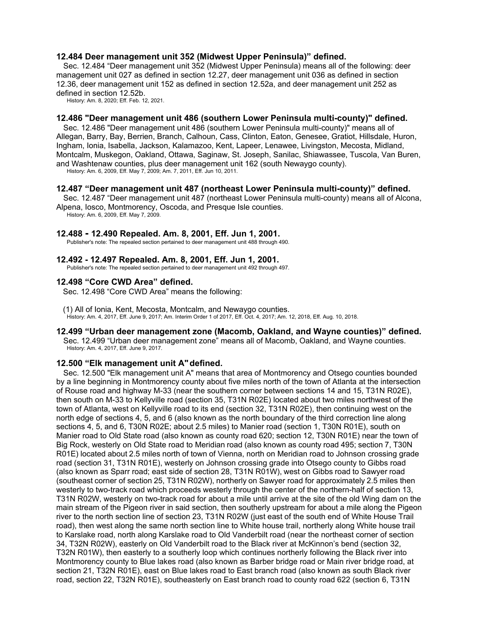### **12.484 Deer management unit 352 (Midwest Upper Peninsula)" defined.**

Sec. 12.484 "Deer management unit 352 (Midwest Upper Peninsula) means all of the following: deer management unit 027 as defined in section 12.27, deer management unit 036 as defined in section 12.36, deer management unit 152 as defined in section 12.52a, and deer management unit 252 as defined in section 12.52b.

History: Am. 8, 2020; Eff. Feb. 12, 2021.

# **12.486 "Deer management unit 486 (southern Lower Peninsula multi-county)" defined.**

Sec. 12.486 "Deer management unit 486 (southern Lower Peninsula multi-county)" means all of Allegan, Barry, Bay, Berrien, Branch, Calhoun, Cass, Clinton, Eaton, Genesee, Gratiot, Hillsdale, Huron, Ingham, Ionia, Isabella, Jackson, Kalamazoo, Kent, Lapeer, Lenawee, Livingston, Mecosta, Midland, Montcalm, Muskegon, Oakland, Ottawa, Saginaw, St. Joseph, Sanilac, Shiawassee, Tuscola, Van Buren, and Washtenaw counties, plus deer management unit 162 (south Newaygo county). History: Am. 6, 2009, Eff. May 7, 2009; Am. 7, 2011, Eff. Jun 10, 2011.

### **12.487 "Deer management unit 487 (northeast Lower Peninsula multi-county)" defined.**

Sec. 12.487 "Deer management unit 487 (northeast Lower Peninsula multi-county) means all of Alcona, Alpena, Iosco, Montmorency, Oscoda, and Presque Isle counties.

History: Am. 6, 2009, Eff. May 7, 2009.

#### **12.488 - 12.490 Repealed. Am. 8, 2001, Eff. Jun 1, 2001.**

Publisher's note: The repealed section pertained to deer management unit 488 through 490.

### **12.492 - 12.497 Repealed. Am. 8, 2001, Eff. Jun 1, 2001.**

Publisher's note: The repealed section pertained to deer management unit 492 through 497.

### **12.498 "Core CWD Area" defined.**

Sec. 12.498 "Core CWD Area" means the following:

#### (1) All of Ionia, Kent, Mecosta, Montcalm, and Newaygo counties. History: Am. 4, 2017, Eff. June 9, 2017; Am. Interim Order 1 of 2017, Eff. Oct. 4, 2017; Am. 12, 2018, Eff. Aug. 10, 2018.

# **12.499 "Urban deer management zone (Macomb, Oakland, and Wayne counties)" defined.**

Sec. 12.499 "Urban deer management zone" means all of Macomb, Oakland, and Wayne counties. History: Am. 4, 2017, Eff. June 9, 2017.

### **12.500 "Elk management unit A"defined.**

Sec. 12.500 "Elk management unit A" means that area of Montmorency and Otsego counties bounded by a line beginning in Montmorency county about five miles north of the town of Atlanta at the intersection of Rouse road and highway M-33 (near the southern corner between sections 14 and 15, T31N R02E), then south on M-33 to Kellyville road (section 35, T31N R02E) located about two miles northwest of the town of Atlanta, west on Kellyville road to its end (section 32, T31N R02E), then continuing west on the north edge of sections 4, 5, and 6 (also known as the north boundary of the third correction line along sections 4, 5, and 6, T30N R02E; about 2.5 miles) to Manier road (section 1, T30N R01E), south on Manier road to Old State road (also known as county road 620; section 12, T30N R01E) near the town of Big Rock, westerly on Old State road to Meridian road (also known as county road 495; section 7, T30N R01E) located about 2.5 miles north of town of Vienna, north on Meridian road to Johnson crossing grade road (section 31, T31N R01E), westerly on Johnson crossing grade into Otsego county to Gibbs road (also known as Sparr road; east side of section 28, T31N R01W), west on Gibbs road to Sawyer road (southeast corner of section 25, T31N R02W), northerly on Sawyer road for approximately 2.5 miles then westerly to two-track road which proceeds westerly through the center of the northern-half of section 13, T31N R02W, westerly on two-track road for about a mile until arrive at the site of the old Wing dam on the main stream of the Pigeon river in said section, then southerly upstream for about a mile along the Pigeon river to the north section line of section 23, T31N R02W (just east of the south end of White House Trail road), then west along the same north section line to White house trail, northerly along White house trail to Karslake road, north along Karslake road to Old Vanderbilt road (near the northeast corner of section 34, T32N R02W), easterly on Old Vanderbilt road to the Black river at McKinnon's bend (section 32, T32N R01W), then easterly to a southerly loop which continues northerly following the Black river into Montmorency county to Blue lakes road (also known as Barber bridge road or Main river bridge road, at section 21, T32N R01E), east on Blue lakes road to East branch road (also known as south Black river road, section 22, T32N R01E), southeasterly on East branch road to county road 622 (section 6, T31N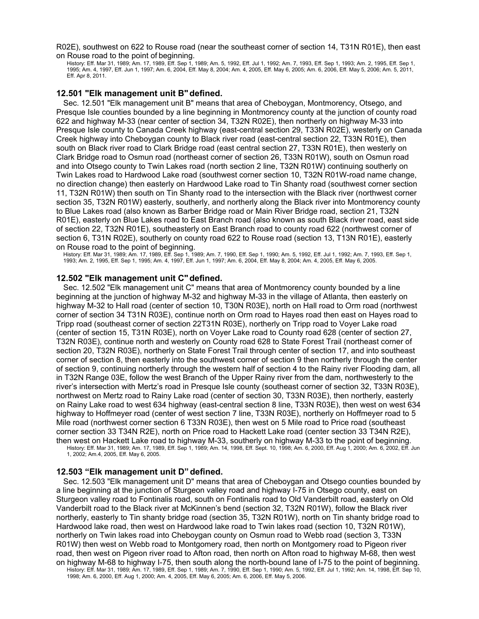R02E), southwest on 622 to Rouse road (near the southeast corner of section 14, T31N R01E), then east on Rouse road to the point of beginning.

History: Eff. Mar 31, 1989; Am. 17, 1989, Eff. Sep 1, 1989; Am. 5, 1992, Eff. Jul 1, 1992; Am. 7, 1993, Eff. Sep 1, 1993; Am. 2, 1995, Eff. Sep 1, 1995; Am. 4, 1997, Eff. Jun 1, 1997; Am. 6, 2004, Eff. May 8, 2004; Am. 4, 2005, Eff. May 6, 2005; Am. 6, 2006, Eff. May 5, 2006; Am. 5, 2011, Eff. Apr 8, 2011.

### **12.501 "Elk management unit B"defined.**

Sec. 12.501 "Elk management unit B" means that area of Cheboygan, Montmorency, Otsego, and Presque Isle counties bounded by a line beginning in Montmorency county at the junction of county road 622 and highway M-33 (near center of section 34, T32N R02E), then northerly on highway M-33 into Presque Isle county to Canada Creek highway (east-central section 29, T33N R02E), westerly on Canada Creek highway into Cheboygan county to Black river road (east-central section 22, T33N R01E), then south on Black river road to Clark Bridge road (east central section 27, T33N R01E), then westerly on Clark Bridge road to Osmun road (northeast corner of section 26, T33N R01W), south on Osmun road and into Otsego county to Twin Lakes road (north section 2 line, T32N R01W) continuing southerly on Twin Lakes road to Hardwood Lake road (southwest corner section 10, T32N R01W-road name change, no direction change) then easterly on Hardwood Lake road to Tin Shanty road (southwest corner section 11, T32N R01W) then south on Tin Shanty road to the intersection with the Black river (northwest corner section 35, T32N R01W) easterly, southerly, and northerly along the Black river into Montmorency county to Blue Lakes road (also known as Barber Bridge road or Main River Bridge road, section 21, T32N R01E), easterly on Blue Lakes road to East Branch road (also known as south Black river road, east side of section 22, T32N R01E), southeasterly on East Branch road to county road 622 (northwest corner of section 6, T31N R02E), southerly on county road 622 to Rouse road (section 13, T13N R01E), easterly on Rouse road to the point of beginning.

History: Eff. Mar 31, 1989; Am. 17, 1989, Eff. Sep 1, 1989; Am. 7, 1990, Eff. Sep 1, 1990; Am. 5, 1992, Eff. Jul 1, 1992; Am. 7, 1993, Eff. Sep 1, 1993; Am. 2, 1995, Eff. Sep 1, 1995; Am. 4, 1997, Eff. Jun 1, 1997; Am. 6, 2004, Eff. May 8, 2004; Am. 4, 2005, Eff. May 6, 2005.

#### **12.502 "Elk management unit C"defined.**

Sec. 12.502 "Elk management unit C" means that area of Montmorency county bounded by a line beginning at the junction of highway M-32 and highway M-33 in the village of Atlanta, then easterly on highway M-32 to Hall road (center of section 10, T30N R03E), north on Hall road to Orm road (northwest corner of section 34 T31N R03E), continue north on Orm road to Hayes road then east on Hayes road to Tripp road (southeast corner of section 22T31N R03E), northerly on Tripp road to Voyer Lake road (center of section 15, T31N R03E), north on Voyer Lake road to County road 628 (center of section 27, T32N R03E), continue north and westerly on County road 628 to State Forest Trail (northeast corner of section 20, T32N R03E), northerly on State Forest Trail through center of section 17, and into southeast corner of section 8, then easterly into the southwest corner of section 9 then northerly through the center of section 9, continuing northerly through the western half of section 4 to the Rainy river Flooding dam, all in T32N Range 03E, follow the west Branch of the Upper Rainy river from the dam, northwesterly to the river's intersection with Mertz's road in Presque Isle county (southeast corner of section 32, T33N R03E), northwest on Mertz road to Rainy Lake road (center of section 30, T33N R03E), then northerly, easterly on Rainy Lake road to west 634 highway (east-central section 8 line, T33N R03E), then west on west 634 highway to Hoffmeyer road (center of west section 7 line, T33N R03E), northerly on Hoffmeyer road to 5 Mile road (northwest corner section 6 T33N R03E), then west on 5 Mile road to Price road (southeast corner section 33 T34N R2E), north on Price road to Hackett Lake road (center section 33 T34N R2E), then west on Hackett Lake road to highway M-33, southerly on highway M-33 to the point of beginning.

History: Eff. Mar 31, 1989; Am. 17, 1989, Eff. Sep 1, 1989; Am. 14, 1998, Eff. Sept. 10, 1998; Am. 6, 2000, Eff. Aug 1, 2000; Am. 6, 2002, Eff. Jun 1, 2002; Am.4, 2005, Eff. May 6, 2005.

#### **12.503 "Elk management unit D"defined.**

Sec. 12.503 "Elk management unit D" means that area of Cheboygan and Otsego counties bounded by a line beginning at the junction of Sturgeon valley road and highway I-75 in Otsego county, east on Sturgeon valley road to Fontinalis road, south on Fontinalis road to Old Vanderbilt road, easterly on Old Vanderbilt road to the Black river at McKinnen's bend (section 32, T32N R01W), follow the Black river northerly, easterly to Tin shanty bridge road (section 35, T32N R01W), north on Tin shanty bridge road to Hardwood lake road, then west on Hardwood lake road to Twin lakes road (section 10, T32N R01W), northerly on Twin lakes road into Cheboygan county on Osmun road to Webb road (section 3, T33N R01W) then west on Webb road to Montgomery road, then north on Montgomery road to Pigeon river road, then west on Pigeon river road to Afton road, then north on Afton road to highway M-68, then west on highway M-68 to highway I-75, then south along the north-bound lane of I-75 to the point of beginning.

History: Eff. Mar 31, 1989; Am. 17, 1989, Eff. Sep 1, 1989; Am. 7, 1990, Eff. Sep 1, 1990; Am. 5, 1992, Eff. Jul 1, 1992; Am. 14, 1998, Eff. Sep 10, 1998; Am. 6, 2000, Eff. Aug 1, 2000; Am. 4, 2005, Eff. May 6, 2005; Am. 6, 2006, Eff. May 5, 2006.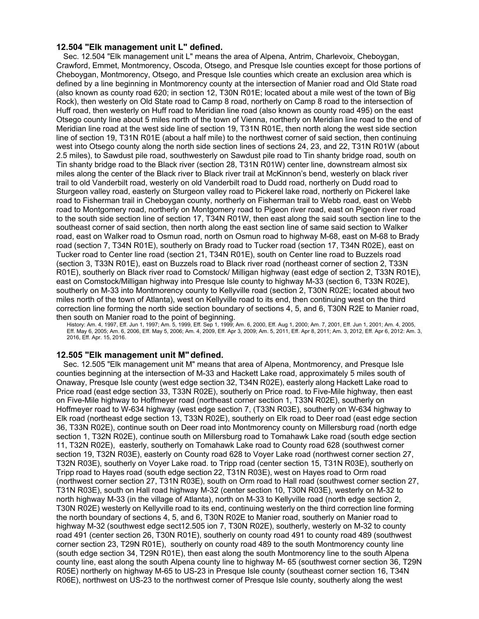### **12.504 "Elk management unit L" defined.**

Sec. 12.504 "Elk management unit L" means the area of Alpena, Antrim, Charlevoix, Cheboygan, Crawford, Emmet, Montmorency, Oscoda, Otsego, and Presque Isle counties except for those portions of Cheboygan, Montmorency, Otsego, and Presque Isle counties which create an exclusion area which is defined by a line beginning in Montmorency county at the intersection of Manier road and Old State road (also known as county road 620; in section 12, T30N R01E; located about a mile west of the town of Big Rock), then westerly on Old State road to Camp 8 road, northerly on Camp 8 road to the intersection of Huff road, then westerly on Huff road to Meridian line road (also known as county road 495) on the east Otsego county line about 5 miles north of the town of Vienna, northerly on Meridian line road to the end of Meridian line road at the west side line of section 19, T31N R01E, then north along the west side section line of section 19, T31N R01E (about a half mile) to the northwest corner of said section, then continuing west into Otsego county along the north side section lines of sections 24, 23, and 22, T31N R01W (about 2.5 miles), to Sawdust pile road, southwesterly on Sawdust pile road to Tin shanty bridge road, south on Tin shanty bridge road to the Black river (section 28, T31N R01W) center line, downstream almost six miles along the center of the Black river to Black river trail at McKinnon's bend, westerly on black river trail to old Vanderbilt road, westerly on old Vanderbilt road to Dudd road, northerly on Dudd road to Sturgeon valley road, easterly on Sturgeon valley road to Pickerel lake road, northerly on Pickerel lake road to Fisherman trail in Cheboygan county, northerly on Fisherman trail to Webb road, east on Webb road to Montgomery road, northerly on Montgomery road to Pigeon river road, east on Pigeon river road to the south side section line of section 17, T34N R01W, then east along the said south section line to the southeast corner of said section, then north along the east section line of same said section to Walker road, east on Walker road to Osmun road, north on Osmun road to highway M-68, east on M-68 to Brady road (section 7, T34N R01E), southerly on Brady road to Tucker road (section 17, T34N R02E), east on Tucker road to Center line road (section 21, T34N R01E), south on Center line road to Buzzels road (section 3, T33N R01E), east on Buzzels road to Black river road (northeast corner of section 2, T33N R01E), southerly on Black river road to Comstock/ Milligan highway (east edge of section 2, T33N R01E), east on Comstock/Milligan highway into Presque Isle county to highway M-33 (section 6, T33N R02E), southerly on M-33 into Montmorency county to Kellyville road (section 2, T30N R02E; located about two miles north of the town of Atlanta), west on Kellyville road to its end, then continuing west on the third correction line forming the north side section boundary of sections 4, 5, and 6, T30N R2E to Manier road, then south on Manier road to the point of beginning.

History: Am. 4, 1997, Eff. Jun 1, 1997; Am. 5, 1999, Eff. Sep 1, 1999; Am. 6, 2000, Eff. Aug 1, 2000; Am. 7, 2001, Eff. Jun 1, 2001; Am. 4, 2005, Eff. May 6, 2005; Am. 6, 2006, Eff. May 5, 2006; Am. 4, 2009, Eff. Apr 3, 2009; Am. 5, 2011, Eff. Apr 8, 2011; Am. 3, 2012, Eff. Apr 6, 2012: Am. 3, 2016, Eff. Apr. 15, 2016.

### **12.505 "Elk management unit M"defined.**

Sec. 12.505 "Elk management unit M" means that area of Alpena, Montmorency, and Presque Isle counties beginning at the intersection of M-33 and Hackett Lake road, approximately 5 miles south of Onaway, Presque Isle county (west edge section 32, T34N R02E), easterly along Hackett Lake road to Price road (east edge section 33, T33N R02E), southerly on Price road. to Five-Mile highway, then east on Five-Mile highway to Hoffmeyer road (northeast corner section 1, T33N R02E), southerly on Hoffmeyer road to W-634 highway (west edge section 7, (T33N R03E), southerly on W-634 highway to Elk road (northeast edge section 13, T33N R02E), southerly on Elk road to Deer road (east edge section 36, T33N R02E), continue south on Deer road into Montmorency county on Millersburg road (north edge section 1, T32N R02E), continue south on Millersburg road to Tomahawk Lake road (south edge section 11, T32N R02E), easterly, southerly on Tomahawk Lake road to County road 628 (southwest corner section 19, T32N R03E), easterly on County road 628 to Voyer Lake road (northwest corner section 27, T32N R03E), southerly on Voyer Lake road. to Tripp road (center section 15, T31N R03E), southerly on Tripp road to Hayes road (south edge section 22, T31N R03E), west on Hayes road to Orm road (northwest corner section 27, T31N R03E), south on Orm road to Hall road (southwest corner section 27, T31N R03E), south on Hall road highway M-32 (center section 10, T30N R03E), westerly on M-32 to north highway M-33 (in the village of Atlanta), north on M-33 to Kellyville road (north edge section 2, T30N R02E) westerly on Kellyville road to its end, continuing westerly on the third correction line forming the north boundary of sections 4, 5, and 6, T30N R02E to Manier road, southerly on Manier road to highway M-32 (southwest edge sect12.505 ion 7, T30N R02E), southerly, westerly on M-32 to county road 491 (center section 26, T30N R01E), southerly on county road 491 to county road 489 (southwest corner section 23, T29N R01E), southerly on county road 489 to the south Montmorency county line (south edge section 34, T29N R01E), then east along the south Montmorency line to the south Alpena county line, east along the south Alpena county line to highway M- 65 (southwest corner section 36, T29N R05E) northerly on highway M-65 to US-23 in Presque Isle county (southeast corner section 16, T34N R06E), northwest on US-23 to the northwest corner of Presque Isle county, southerly along the west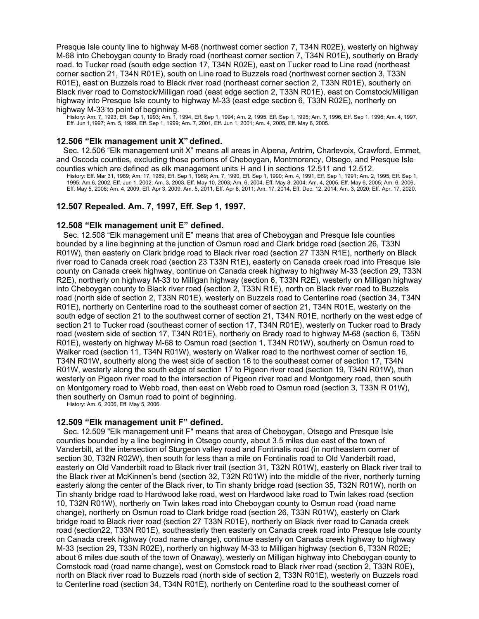Presque Isle county line to highway M-68 (northwest corner section 7, T34N R02E), westerly on highway M-68 into Cheboygan county to Brady road (northeast corner section 7, T34N R01E), southerly on Brady road. to Tucker road (south edge section 17, T34N R02E), east on Tucker road to Line road (northeast corner section 21, T34N R01E), south on Line road to Buzzels road (northwest corner section 3, T33N R01E), east on Buzzels road to Black river road (northeast corner section 2, T33N R01E), southerly on Black river road to Comstock/Milligan road (east edge section 2, T33N R01E), east on Comstock/Milligan highway into Presque Isle county to highway M-33 (east edge section 6, T33N R02E), northerly on highway M-33 to point of beginning.

History: Am. 7, 1993, Eff. Sep 1, 1993; Am. 1, 1994, Eff. Sep 1, 1994; Am. 2, 1995, Eff. Sep 1, 1995; Am. 7, 1996, Eff. Sep 1, 1996; Am. 4, 1997, Eff. Jun 1,1997; Am. 5, 1999, Eff. Sep 1, 1999; Am. 7, 2001, Eff. Jun 1, 2001; Am. 4, 2005, Eff. May 6, 2005.

# **12.506 "Elk management unit X"defined.**

Sec. 12.506 "Elk management unit X" means all areas in Alpena, Antrim, Charlevoix, Crawford, Emmet, and Oscoda counties, excluding those portions of Cheboygan, Montmorency, Otsego, and Presque Isle counties which are defined as elk management units H and I in sections 12.511 and 12.512.

History: Eff. Mar 31, 1989; Am. 17, 1989, Eff. Sep 1, 1989; Am. 7, 1990, Eff. Sep 1, 1990; Am. 4, 1991, Eff. Sep 1, 1991; Am. 2, 1995, Eff. Sep 1, 1995; Am.6, 2002, Eff. Jun 1, 2002; Am. 3, 2003, Eff. May 10, 2003; Am. 6, 2004, Eff. May 8, 2004; Am. 4, 2005, Eff. May 6, 2005; Am. 6, 2006, Eff. May 5, 2006; Am. 4, 2009, Eff. Apr 3, 2009; Am. 5, 2011, Eff. Apr 8, 2011; Am. 17, 2014, Eff. Dec. 12, 2014; Am. 3, 2020; Eff. Apr. 17, 2020.

### **12.507 Repealed. Am. 7, 1997, Eff. Sep 1, 1997.**

#### **12.508 "Elk management unit E" defined.**

Sec. 12.508 "Elk management unit E" means that area of Cheboygan and Presque Isle counties bounded by a line beginning at the junction of Osmun road and Clark bridge road (section 26, T33N R01W), then easterly on Clark bridge road to Black river road (section 27 T33N R1E), northerly on Black river road to Canada creek road (section 23 T33N R1E), easterly on Canada creek road into Presque Isle county on Canada creek highway, continue on Canada creek highway to highway M-33 (section 29, T33N R2E), northerly on highway M-33 to Milligan highway (section 6, T33N R2E), westerly on Milligan highway into Cheboygan county to Black river road (section 2, T33N R1E), north on Black river road to Buzzels road (north side of section 2, T33N R01E), westerly on Buzzels road to Centerline road (section 34, T34N R01E), northerly on Centerline road to the southeast corner of section 21, T34N R01E, westerly on the south edge of section 21 to the southwest corner of section 21, T34N R01E, northerly on the west edge of section 21 to Tucker road (southeast corner of section 17, T34N R01E), westerly on Tucker road to Brady road (western side of section 17, T34N R01E), northerly on Brady road to highway M-68 (section 6, T35N R01E), westerly on highway M-68 to Osmun road (section 1, T34N R01W), southerly on Osmun road to Walker road (section 11, T34N R01W), westerly on Walker road to the northwest corner of section 16, T34N R01W, southerly along the west side of section 16 to the southeast corner of section 17, T34N R01W, westerly along the south edge of section 17 to Pigeon river road (section 19, T34N R01W), then westerly on Pigeon river road to the intersection of Pigeon river road and Montgomery road, then south on Montgomery road to Webb road, then east on Webb road to Osmun road (section 3, T33N R 01W), then southerly on Osmun road to point of beginning.

History: Am. 6, 2006, Eff. May 5, 2006.

### **12.509 "Elk management unit F" defined.**

Sec. 12.509 "Elk management unit F" means that area of Cheboygan, Otsego and Presque Isle counties bounded by a line beginning in Otsego county, about 3.5 miles due east of the town of Vanderbilt, at the intersection of Sturgeon valley road and Fontinalis road (in northeastern corner of section 30, T32N R02W), then south for less than a mile on Fontinalis road to Old Vanderbilt road, easterly on Old Vanderbilt road to Black river trail (section 31, T32N R01W), easterly on Black river trail to the Black river at McKinnen's bend (section 32, T32N R01W) into the middle of the river, northerly turning easterly along the center of the Black river, to Tin shanty bridge road (section 35, T32N R01W), north on Tin shanty bridge road to Hardwood lake road, west on Hardwood lake road to Twin lakes road (section 10, T32N R01W), northerly on Twin lakes road into Cheboygan county to Osmun road (road name change), northerly on Osmun road to Clark bridge road (section 26, T33N R01W), easterly on Clark bridge road to Black river road (section 27 T33N R01E), northerly on Black river road to Canada creek road (section22, T33N R01E), southeasterly then easterly on Canada creek road into Presque Isle county on Canada creek highway (road name change), continue easterly on Canada creek highway to highway M-33 (section 29, T33N R02E), northerly on highway M-33 to Milligan highway (section 6, T33N R02E; about 6 miles due south of the town of Onaway), westerly on Milligan highway into Cheboygan county to Comstock road (road name change), west on Comstock road to Black river road (section 2, T33N R0E), north on Black river road to Buzzels road (north side of section 2, T33N R01E), westerly on Buzzels road to Centerline road (section 34, T34N R01E), northerly on Centerline road to the southeast corner of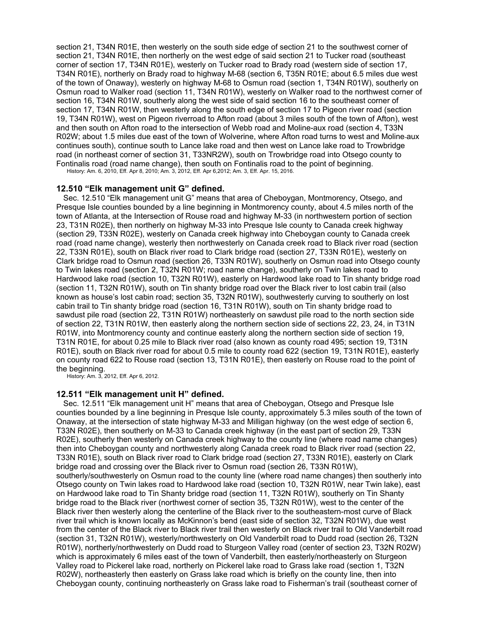section 21, T34N R01E, then westerly on the south side edge of section 21 to the southwest corner of section 21, T34N R01E, then northerly on the west edge of said section 21 to Tucker road (southeast corner of section 17, T34N R01E), westerly on Tucker road to Brady road (western side of section 17, T34N R01E), northerly on Brady road to highway M-68 (section 6, T35N R01E; about 6.5 miles due west of the town of Onaway), westerly on highway M-68 to Osmun road (section 1, T34N R01W), southerly on Osmun road to Walker road (section 11, T34N R01W), westerly on Walker road to the northwest corner of section 16, T34N R01W, southerly along the west side of said section 16 to the southeast corner of section 17, T34N R01W, then westerly along the south edge of section 17 to Pigeon river road (section 19, T34N R01W), west on Pigeon riverroad to Afton road (about 3 miles south of the town of Afton), west and then south on Afton road to the intersection of Webb road and Moline-aux road (section 4, T33N R02W; about 1.5 miles due east of the town of Wolverine, where Afton road turns to west and Moline aux continues south), continue south to Lance lake road and then west on Lance lake road to Trowbridge road (in northeast corner of section 31, T33NR2W), south on Trowbridge road into Otsego county to Fontinalis road (road name change), then south on Fontinalis road to the point of beginning. History: Am. 6, 2010, Eff. Apr 8, 2010; Am. 3, 2012, Eff. Apr 6,2012; Am. 3, Eff. Apr. 15, 2016.

**12.510 "Elk management unit G" defined.**

Sec. 12.510 "Elk management unit G" means that area of Cheboygan, Montmorency, Otsego, and Presque Isle counties bounded by a line beginning in Montmorency county, about 4.5 miles north of the town of Atlanta, at the Intersection of Rouse road and highway M-33 (in northwestern portion of section 23, T31N R02E), then northerly on highway M-33 into Presque Isle county to Canada creek highway (section 29, T33N R02E), westerly on Canada creek highway into Cheboygan county to Canada creek road (road name change), westerly then northwesterly on Canada creek road to Black river road (section 22, T33N R01E), south on Black river road to Clark bridge road (section 27, T33N R01E), westerly on Clark bridge road to Osmun road (section 26, T33N R01W), southerly on Osmun road into Otsego county to Twin lakes road (section 2, T32N R01W; road name change), southerly on Twin lakes road to Hardwood lake road (section 10, T32N R01W), easterly on Hardwood lake road to Tin shanty bridge road (section 11, T32N R01W), south on Tin shanty bridge road over the Black river to lost cabin trail (also known as house's lost cabin road; section 35, T32N R01W), southwesterly curving to southerly on lost cabin trail to Tin shanty bridge road (section 16, T31N R01W), south on Tin shanty bridge road to sawdust pile road (section 22, T31N R01W) northeasterly on sawdust pile road to the north section side of section 22, T31N R01W, then easterly along the northern section side of sections 22, 23, 24, in T31N R01W, into Montmorency county and continue easterly along the northern section side of section 19, T31N R01E, for about 0.25 mile to Black river road (also known as county road 495; section 19, T31N R01E), south on Black river road for about 0.5 mile to county road 622 (section 19, T31N R01E), easterly on county road 622 to Rouse road (section 13, T31N R01E), then easterly on Rouse road to the point of

the beginning. History: Am. 3, 2012, Eff. Apr 6, 2012.

### **12.511 "Elk management unit H" defined.**

Sec. 12.511 "Elk management unit H" means that area of Cheboygan, Otsego and Presque Isle counties bounded by a line beginning in Presque Isle county, approximately 5.3 miles south of the town of Onaway, at the intersection of state highway M-33 and Milligan highway (on the west edge of section 6, T33N R02E), then southerly on M-33 to Canada creek highway (in the east part of section 29, T33N R02E), southerly then westerly on Canada creek highway to the county line (where road name changes) then into Cheboygan county and northwesterly along Canada creek road to Black river road (section 22, T33N R01E), south on Black river road to Clark bridge road (section 27, T33N R01E), easterly on Clark bridge road and crossing over the Black river to Osmun road (section 26, T33N R01W), southerly/southwesterly on Osmun road to the county line (where road name changes) then southerly into Otsego county on Twin lakes road to Hardwood lake road (section 10, T32N R01W, near Twin lake), east on Hardwood lake road to Tin Shanty bridge road (section 11, T32N R01W), southerly on Tin Shanty bridge road to the Black river (northwest corner of section 35, T32N R01W), west to the center of the Black river then westerly along the centerline of the Black river to the southeastern-most curve of Black river trail which is known locally as McKinnon's bend (east side of section 32, T32N R01W), due west from the center of the Black river to Black river trail then westerly on Black river trail to Old Vanderbilt road (section 31, T32N R01W), westerly/northwesterly on Old Vanderbilt road to Dudd road (section 26, T32N R01W), northerly/northwesterly on Dudd road to Sturgeon Valley road (center of section 23, T32N R02W) which is approximately 6 miles east of the town of Vanderbilt, then easterly/northeasterly on Sturgeon Valley road to Pickerel lake road, northerly on Pickerel lake road to Grass lake road (section 1, T32N R02W), northeasterly then easterly on Grass lake road which is briefly on the county line, then into Cheboygan county, continuing northeasterly on Grass lake road to Fisherman's trail (southeast corner of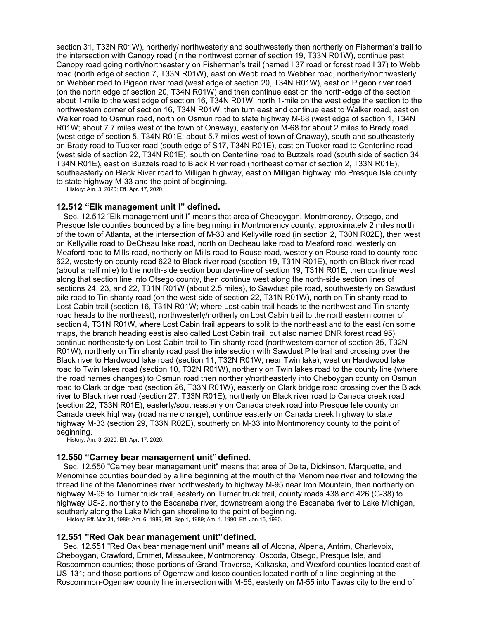section 31, T33N R01W), northerly/ northwesterly and southwesterly then northerly on Fisherman's trail to the intersection with Canopy road (in the northwest corner of section 19, T33N R01W), continue past Canopy road going north/northeasterly on Fisherman's trail (named I 37 road or forest road I 37) to Webb road (north edge of section 7, T33N R01W), east on Webb road to Webber road, northerly/northwesterly on Webber road to Pigeon river road (west edge of section 20, T34N R01W), east on Pigeon river road (on the north edge of section 20, T34N R01W) and then continue east on the north-edge of the section about 1-mile to the west edge of section 16, T34N R01W, north 1-mile on the west edge the section to the northwestern corner of section 16, T34N R01W, then turn east and continue east to Walker road, east on Walker road to Osmun road, north on Osmun road to state highway M-68 (west edge of section 1, T34N R01W; about 7.7 miles west of the town of Onaway), easterly on M-68 for about 2 miles to Brady road (west edge of section 5, T34N R01E; about 5.7 miles west of town of Onaway), south and southeasterly on Brady road to Tucker road (south edge of S17, T34N R01E), east on Tucker road to Centerline road (west side of section 22, T34N R01E), south on Centerline road to Buzzels road (south side of section 34, T34N R01E), east on Buzzels road to Black River road (northeast corner of section 2, T33N R01E), southeasterly on Black River road to Milligan highway, east on Milligan highway into Presque Isle county to state highway M-33 and the point of beginning.

History: Am. 3, 2020; Eff. Apr. 17, 2020.

### **12.512 "Elk management unit I" defined.**

Sec. 12.512 "Elk management unit I" means that area of Cheboygan, Montmorency, Otsego, and Presque Isle counties bounded by a line beginning in Montmorency county, approximately 2 miles north of the town of Atlanta, at the intersection of M-33 and Kellyville road (in section 2, T30N R02E), then west on Kellyville road to DeCheau lake road, north on Decheau lake road to Meaford road, westerly on Meaford road to Mills road, northerly on Mills road to Rouse road, westerly on Rouse road to county road 622, westerly on county road 622 to Black river road (section 19, T31N R01E), north on Black river road (about a half mile) to the north-side section boundary-line of section 19, T31N R01E, then continue west along that section line into Otsego county, then continue west along the north-side section lines of sections 24, 23, and 22, T31N R01W (about 2.5 miles), to Sawdust pile road, southwesterly on Sawdust pile road to Tin shanty road (on the west-side of section 22, T31N R01W), north on Tin shanty road to Lost Cabin trail (section 16, T31N R01W; where Lost cabin trail heads to the northwest and Tin shanty road heads to the northeast), northwesterly/northerly on Lost Cabin trail to the northeastern corner of section 4, T31N R01W, where Lost Cabin trail appears to split to the northeast and to the east (on some maps, the branch heading east is also called Lost Cabin trail, but also named DNR forest road 95), continue northeasterly on Lost Cabin trail to Tin shanty road (northwestern corner of section 35, T32N R01W), northerly on Tin shanty road past the intersection with Sawdust Pile trail and crossing over the Black river to Hardwood lake road (section 11, T32N R01W, near Twin lake), west on Hardwood lake road to Twin lakes road (section 10, T32N R01W), northerly on Twin lakes road to the county line (where the road names changes) to Osmun road then northerly/northeasterly into Cheboygan county on Osmun road to Clark bridge road (section 26, T33N R01W), easterly on Clark bridge road crossing over the Black river to Black river road (section 27, T33N R01E), northerly on Black river road to Canada creek road (section 22, T33N R01E), easterly/southeasterly on Canada creek road into Presque Isle county on Canada creek highway (road name change), continue easterly on Canada creek highway to state highway M-33 (section 29, T33N R02E), southerly on M-33 into Montmorency county to the point of beginning.

History: Am. 3, 2020; Eff. Apr. 17, 2020.

### **12.550 "Carney bear management unit"defined.**

Sec. 12.550 "Carney bear management unit" means that area of Delta, Dickinson, Marquette, and Menominee counties bounded by a line beginning at the mouth of the Menominee river and following the thread line of the Menominee river northwesterly to highway M-95 near Iron Mountain, then northerly on highway M-95 to Turner truck trail, easterly on Turner truck trail, county roads 438 and 426 (G-38) to highway US-2, northerly to the Escanaba river, downstream along the Escanaba river to Lake Michigan, southerly along the Lake Michigan shoreline to the point of beginning.

History: Eff. Mar 31, 1989; Am. 6, 1989, Eff. Sep 1, 1989; Am. 1, 1990, Eff. Jan 15, 1990.

### **12.551 "Red Oak bear management unit"defined.**

Sec. 12.551 "Red Oak bear management unit" means all of Alcona, Alpena, Antrim, Charlevoix, Cheboygan, Crawford, Emmet, Missaukee, Montmorency, Oscoda, Otsego, Presque Isle, and Roscommon counties; those portions of Grand Traverse, Kalkaska, and Wexford counties located east of US-131; and those portions of Ogemaw and Iosco counties located north of a line beginning at the Roscommon-Ogemaw county line intersection with M-55, easterly on M-55 into Tawas city to the end of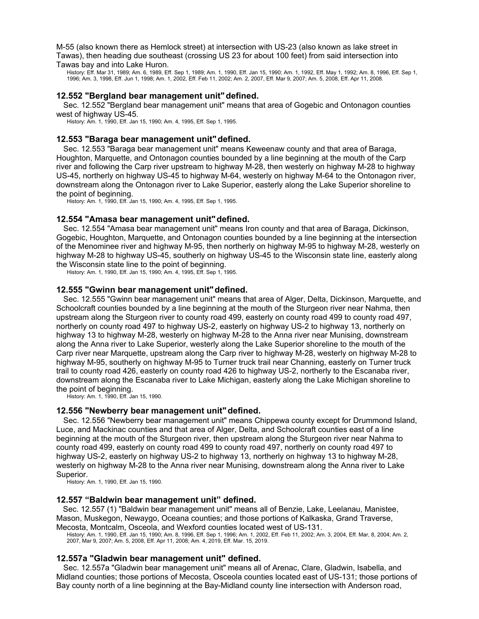M-55 (also known there as Hemlock street) at intersection with US-23 (also known as lake street in Tawas), then heading due southeast (crossing US 23 for about 100 feet) from said intersection into Tawas bay and into Lake Huron.

History: Eff. Mar 31, 1989; Am. 6, 1989, Eff. Sep 1, 1989; Am. 1, 1990, Eff. Jan 15, 1990; Am. 1, 1992, Eff. May 1, 1992; Am. 8, 1996, Eff. Sep 1, 1996; Am. 3, 1998, Eff. Jun 1, 1998; Am. 1, 2002, Eff. Feb 11, 2002; Am. 2, 2007, Eff. Mar 9, 2007; Am. 5, 2008, Eff. Apr 11, 2008.

### **12.552 "Bergland bear management unit"defined.**

Sec. 12.552 "Bergland bear management unit" means that area of Gogebic and Ontonagon counties west of highway US-45.

History: Am. 1, 1990, Eff. Jan 15, 1990; Am. 4, 1995, Eff. Sep 1, 1995.

#### **12.553 "Baraga bear management unit"defined.**

Sec. 12.553 "Baraga bear management unit" means Keweenaw county and that area of Baraga, Houghton, Marquette, and Ontonagon counties bounded by a line beginning at the mouth of the Carp river and following the Carp river upstream to highway M-28, then westerly on highway M-28 to highway US-45, northerly on highway US-45 to highway M-64, westerly on highway M-64 to the Ontonagon river, downstream along the Ontonagon river to Lake Superior, easterly along the Lake Superior shoreline to the point of beginning.

History: Am. 1, 1990, Eff. Jan 15, 1990; Am. 4, 1995, Eff. Sep 1, 1995.

### **12.554 "Amasa bear management unit"defined.**

Sec. 12.554 "Amasa bear management unit" means Iron county and that area of Baraga, Dickinson, Gogebic, Houghton, Marquette, and Ontonagon counties bounded by a line beginning at the intersection of the Menominee river and highway M-95, then northerly on highway M-95 to highway M-28, westerly on highway M-28 to highway US-45, southerly on highway US-45 to the Wisconsin state line, easterly along the Wisconsin state line to the point of beginning.

History: Am. 1, 1990, Eff. Jan 15, 1990; Am. 4, 1995, Eff. Sep 1, 1995.

#### **12.555 "Gwinn bear management unit"defined.**

Sec. 12.555 "Gwinn bear management unit" means that area of Alger, Delta, Dickinson, Marquette, and Schoolcraft counties bounded by a line beginning at the mouth of the Sturgeon river near Nahma, then upstream along the Sturgeon river to county road 499, easterly on county road 499 to county road 497, northerly on county road 497 to highway US-2, easterly on highway US-2 to highway 13, northerly on highway 13 to highway M-28, westerly on highway M-28 to the Anna river near Munising, downstream along the Anna river to Lake Superior, westerly along the Lake Superior shoreline to the mouth of the Carp river near Marquette, upstream along the Carp river to highway M-28, westerly on highway M-28 to highway M-95, southerly on highway M-95 to Turner truck trail near Channing, easterly on Turner truck trail to county road 426, easterly on county road 426 to highway US-2, northerly to the Escanaba river, downstream along the Escanaba river to Lake Michigan, easterly along the Lake Michigan shoreline to the point of beginning.

History: Am. 1, 1990, Eff. Jan 15, 1990.

### **12.556 "Newberry bear management unit"defined.**

Sec. 12.556 "Newberry bear management unit" means Chippewa county except for Drummond Island, Luce, and Mackinac counties and that area of Alger, Delta, and Schoolcraft counties east of a line beginning at the mouth of the Sturgeon river, then upstream along the Sturgeon river near Nahma to county road 499, easterly on county road 499 to county road 497, northerly on county road 497 to highway US-2, easterly on highway US-2 to highway 13, northerly on highway 13 to highway M-28, westerly on highway M-28 to the Anna river near Munising, downstream along the Anna river to Lake Superior.

History: Am. 1, 1990, Eff. Jan 15, 1990.

### **12.557 "Baldwin bear management unit" defined.**

Sec. 12.557 (1) "Baldwin bear management unit" means all of Benzie, Lake, Leelanau, Manistee, Mason, Muskegon, Newaygo, Oceana counties; and those portions of Kalkaska, Grand Traverse, Mecosta, Montcalm, Osceola, and Wexford counties located west of US-131.

History: Am. 1, 1990, Eff. Jan 15, 1990; Am. 8, 1996, Eff. Sep 1, 1996; Am. 1, 2002, Eff. Feb 11, 2002; Am. 3, 2004, Eff. Mar, 8, 2004; Am. 2,

2007, Mar 9, 2007; Am. 5, 2008, Eff. Apr 11, 2008; Am. 4, 2019, Eff. Mar. 15, 2019.

# **12.557a "Gladwin bear management unit" defined.**

Sec. 12.557a "Gladwin bear management unit" means all of Arenac, Clare, Gladwin, Isabella, and Midland counties; those portions of Mecosta, Osceola counties located east of US-131; those portions of Bay county north of a line beginning at the Bay-Midland county line intersection with Anderson road,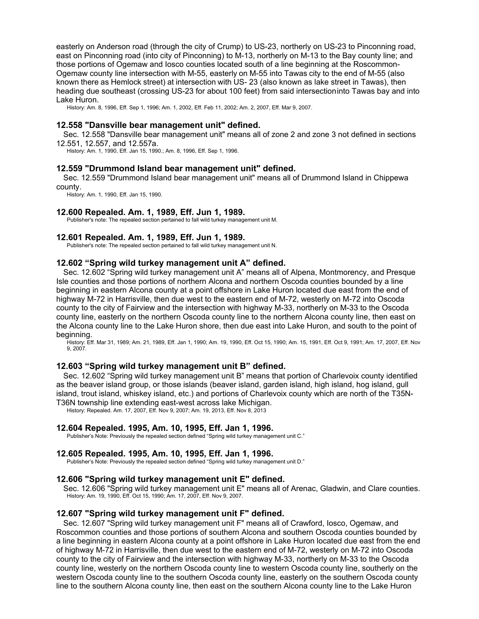easterly on Anderson road (through the city of Crump) to US-23, northerly on US-23 to Pinconning road, east on Pinconning road (into city of Pinconning) to M-13, northerly on M-13 to the Bay county line; and those portions of Ogemaw and Iosco counties located south of a line beginning at the Roscommon-Ogemaw county line intersection with M-55, easterly on M-55 into Tawas city to the end of M-55 (also known there as Hemlock street) at intersection with US- 23 (also known as lake street in Tawas), then heading due southeast (crossing US-23 for about 100 feet) from said intersectioninto Tawas bay and into Lake Huron.

History: Am. 8, 1996, Eff. Sep 1, 1996; Am. 1, 2002, Eff. Feb 11, 2002; Am. 2, 2007, Eff. Mar 9, 2007.

#### **12.558 "Dansville bear management unit" defined.**

Sec. 12.558 "Dansville bear management unit" means all of zone 2 and zone 3 not defined in sections 12.551, 12.557, and 12.557a.

History: Am. 1, 1990, Eff. Jan 15, 1990.; Am. 8, 1996, Eff. Sep 1, 1996.

#### **12.559 "Drummond Island bear management unit" defined.**

Sec. 12.559 "Drummond Island bear management unit" means all of Drummond Island in Chippewa county.

History: Am. 1, 1990, Eff. Jan 15, 1990.

#### **12.600 Repealed. Am. 1, 1989, Eff. Jun 1, 1989.**

Publisher's note: The repealed section pertained to fall wild turkey management unit M.

### **12.601 Repealed. Am. 1, 1989, Eff. Jun 1, 1989.**

Publisher's note: The repealed section pertained to fall wild turkey management unit N.

### **12.602 "Spring wild turkey management unit A" defined.**

Sec. 12.602 "Spring wild turkey management unit A" means all of Alpena, Montmorency, and Presque Isle counties and those portions of northern Alcona and northern Oscoda counties bounded by a line beginning in eastern Alcona county at a point offshore in Lake Huron located due east from the end of highway M-72 in Harrisville, then due west to the eastern end of M-72, westerly on M-72 into Oscoda county to the city of Fairview and the intersection with highway M-33, northerly on M-33 to the Oscoda county line, easterly on the northern Oscoda county line to the northern Alcona county line, then east on the Alcona county line to the Lake Huron shore, then due east into Lake Huron, and south to the point of beginning.

History: Eff. Mar 31, 1989; Am. 21, 1989, Eff. Jan 1, 1990; Am. 19, 1990, Eff. Oct 15, 1990; Am. 15, 1991, Eff. Oct 9, 1991; Am. 17, 2007, Eff. Nov 9, 2007.

### **12.603 "Spring wild turkey management unit B" defined.**

Sec. 12.602 "Spring wild turkey management unit B" means that portion of Charlevoix county identified as the beaver island group, or those islands (beaver island, garden island, high island, hog island, gull island, trout island, whiskey island, etc.) and portions of Charlevoix county which are north of the T35N-T36N township line extending east-west across lake Michigan.

History: Repealed. Am. 17, 2007, Eff. Nov 9, 2007; Am. 19, 2013, Eff. Nov 8, 2013

#### **12.604 Repealed. 1995, Am. 10, 1995, Eff. Jan 1, 1996.**

Publisher's Note: Previously the repealed section defined "Spring wild turkey management unit C."

#### **12.605 Repealed. 1995, Am. 10, 1995, Eff. Jan 1, 1996.**

Publisher's Note: Previously the repealed section defined "Spring wild turkey management unit D."

### **12.606 "Spring wild turkey management unit E" defined.**

Sec. 12.606 "Spring wild turkey management unit E" means all of Arenac, Gladwin, and Clare counties. History: Am. 19, 1990, Eff. Oct 15, 1990; Am. 17, 2007, Eff. Nov 9, 2007.

### **12.607 "Spring wild turkey management unit F" defined.**

Sec. 12.607 "Spring wild turkey management unit F" means all of Crawford, Iosco, Ogemaw, and Roscommon counties and those portions of southern Alcona and southern Oscoda counties bounded by a line beginning in eastern Alcona county at a point offshore in Lake Huron located due east from the end of highway M-72 in Harrisville, then due west to the eastern end of M-72, westerly on M-72 into Oscoda county to the city of Fairview and the intersection with highway M-33, northerly on M-33 to the Oscoda county line, westerly on the northern Oscoda county line to western Oscoda county line, southerly on the western Oscoda county line to the southern Oscoda county line, easterly on the southern Oscoda county line to the southern Alcona county line, then east on the southern Alcona county line to the Lake Huron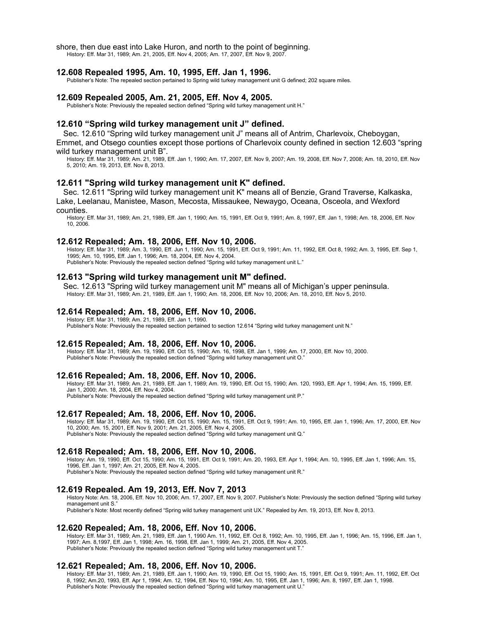shore, then due east into Lake Huron, and north to the point of beginning.

History: Eff. Mar 31, 1989; Am. 21, 2005, Eff. Nov 4, 2005; Am. 17, 2007, Eff. Nov 9, 2007.

#### **12.608 Repealed 1995, Am. 10, 1995, Eff. Jan 1, 1996.**

Publisher's Note: The repealed section pertained to Spring wild turkey management unit G defined; 202 square miles.

### **12.609 Repealed 2005, Am. 21, 2005, Eff. Nov 4, 2005.**

Publisher's Note: Previously the repealed section defined "Spring wild turkey management unit H."

#### **12.610 "Spring wild turkey management unit J" defined.**

Sec. 12.610 "Spring wild turkey management unit J" means all of Antrim, Charlevoix, Cheboygan, Emmet, and Otsego counties except those portions of Charlevoix county defined in section 12.603 "spring wild turkey management unit B".

History: Eff. Mar 31, 1989; Am. 21, 1989, Eff. Jan 1, 1990; Am. 17, 2007, Eff. Nov 9, 2007; Am. 19, 2008, Eff. Nov 7, 2008; Am. 18, 2010, Eff. Nov 5, 2010; Am. 19, 2013, Eff. Nov 8, 2013.

#### **12.611 "Spring wild turkey management unit K" defined.**

Sec. 12.611 "Spring wild turkey management unit K" means all of Benzie, Grand Traverse, Kalkaska, Lake, Leelanau, Manistee, Mason, Mecosta, Missaukee, Newaygo, Oceana, Osceola, and Wexford counties.

History: Eff. Mar 31, 1989; Am. 21, 1989, Eff. Jan 1, 1990; Am. 15, 1991, Eff. Oct 9, 1991; Am. 8, 1997, Eff. Jan 1, 1998; Am. 18, 2006, Eff. Nov 10, 2006.

#### **12.612 Repealed; Am. 18, 2006, Eff. Nov 10, 2006.**

History: Eff. Mar 31, 1989; Am. 3, 1990, Eff. Jun 1, 1990; Am. 15, 1991, Eff. Oct 9, 1991; Am. 11, 1992, Eff. Oct 8, 1992; Am. 3, 1995, Eff. Sep 1, 1995; Am. 10, 1995, Eff. Jan 1, 1996; Am. 18, 2004, Eff. Nov 4, 2004.

Publisher's Note: Previously the repealed section defined "Spring wild turkey management unit L."

### **12.613 "Spring wild turkey management unit M" defined.**

Sec. 12.613 "Spring wild turkey management unit M" means all of Michigan's upper peninsula. History: Eff. Mar 31, 1989; Am. 21, 1989, Eff. Jan 1, 1990; Am. 18, 2006, Eff. Nov 10, 2006; Am. 18, 2010, Eff. Nov 5, 2010.

#### **12.614 Repealed; Am. 18, 2006, Eff. Nov 10, 2006.**

History: Eff. Mar 31, 1989; Am. 21, 1989, Eff. Jan 1, 1990. Publisher's Note: Previously the repealed section pertained to section 12.614 "Spring wild turkey management unit N."

#### **12.615 Repealed; Am. 18, 2006, Eff. Nov 10, 2006.**

History: Eff. Mar 31, 1989; Am. 19, 1990, Eff. Oct 15, 1990; Am. 16, 1998, Eff. Jan 1, 1999; Am. 17, 2000, Eff. Nov 10, 2000. Publisher's Note: Previously the repealed section defined "Spring wild turkey management unit O."

#### **12.616 Repealed; Am. 18, 2006, Eff. Nov 10, 2006.**

History: Eff. Mar 31, 1989; Am. 21, 1989, Eff. Jan 1, 1989; Am. 19, 1990, Eff. Oct 15, 1990; Am. 120, 1993, Eff. Apr 1, 1994; Am. 15, 1999, Eff. Jan 1, 2000; Am. 18, 2004, Eff. Nov 4, 2004. Publisher's Note: Previously the repealed section defined "Spring wild turkey management unit P."

#### **12.617 Repealed; Am. 18, 2006, Eff. Nov 10, 2006.**

History: Eff. Mar 31, 1989; Am. 19, 1990, Eff. Oct 15, 1990; Am. 15, 1991, Eff. Oct 9, 1991; Am. 10, 1995, Eff. Jan 1, 1996; Am. 17, 2000, Eff. Nov 10, 2000; Am. 15, 2001, Eff. Nov 9, 2001; Am. 21, 2005, Eff. Nov 4, 2005. Publisher's Note: Previously the repealed section defined "Spring wild turkey management unit Q."

#### **12.618 Repealed; Am. 18, 2006, Eff. Nov 10, 2006.**

History: Am. 19, 1990, Eff. Oct 15, 1990; Am. 15, 1991, Eff. Oct 9, 1991; Am. 20, 1993, Eff. Apr 1, 1994; Am. 10, 1995, Eff. Jan 1, 1996; Am. 15, 1996, Eff. Jan 1, 1997; Am. 21, 2005, Eff. Nov 4, 2005. Publisher's Note: Previously the repealed section defined "Spring wild turkey management unit R."

#### **12.619 Repealed. Am 19, 2013, Eff. Nov 7, 2013**

History Note: Am. 18, 2006, Eff. Nov 10, 2006; Am. 17, 2007, Eff. Nov 9, 2007. Publisher's Note: Previously the section defined "Spring wild turkey management unit S. Publisher's Note: Most recently defined "Spring wild turkey management unit UX." Repealed by Am. 19, 2013, Eff. Nov 8, 2013.

# **12.620 Repealed; Am. 18, 2006, Eff. Nov 10, 2006.**

History: Eff. Mar 31, 1989; Am. 21, 1989, Eff. Jan 1, 1990 Am. 11, 1992, Eff. Oct 8, 1992; Am. 10, 1995, Eff. Jan 1, 1996; Am. 15, 1996, Eff. Jan 1, 1997; Am. 8,1997, Eff. Jan 1, 1998; Am. 16, 1998, Eff. Jan 1, 1999; Am. 21, 2005, Eff. Nov 4, 2005. Publisher's Note: Previously the repealed section defined "Spring wild turkey management unit T."

#### **12.621 Repealed; Am. 18, 2006, Eff. Nov 10, 2006.**

History: Eff. Mar 31, 1989; Am. 21, 1989, Eff. Jan 1, 1990; Am. 19, 1990, Eff. Oct 15, 1990; Am. 15, 1991, Eff. Oct 9, 1991; Am. 11, 1992, Eff. Oct 8, 1992; Am.20, 1993, Eff. Apr 1, 1994; Am. 12, 1994, Eff. Nov 10, 1994; Am. 10, 1995, Eff. Jan 1, 1996; Am. 8, 1997, Eff. Jan 1, 1998. Publisher's Note: Previously the repealed section defined "Spring wild turkey management unit U."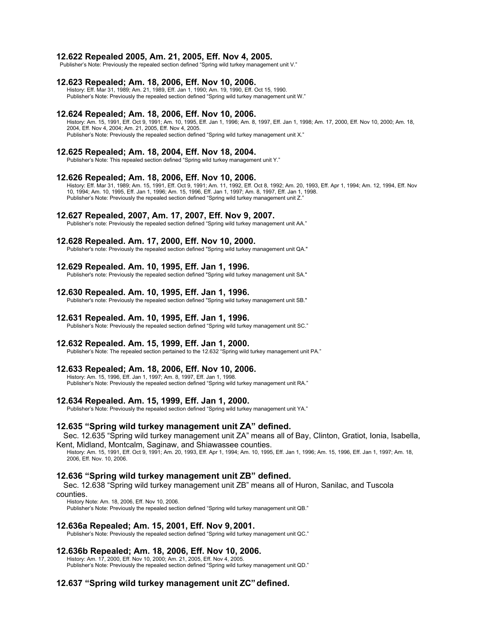#### **12.622 Repealed 2005, Am. 21, 2005, Eff. Nov 4, 2005.**

Publisher's Note: Previously the repealed section defined "Spring wild turkey management unit V."

#### **12.623 Repealed; Am. 18, 2006, Eff. Nov 10, 2006.**

History: Eff. Mar 31, 1989; Am. 21, 1989, Eff. Jan 1, 1990; Am. 19, 1990, Eff. Oct 15, 1990. Publisher's Note: Previously the repealed section defined "Spring wild turkey management unit W."

#### **12.624 Repealed; Am. 18, 2006, Eff. Nov 10, 2006.**

History: Am. 15, 1991, Eff. Oct 9, 1991; Am. 10, 1995, Eff. Jan 1, 1996; Am. 8, 1997, Eff. Jan 1, 1998; Am. 17, 2000, Eff. Nov 10, 2000; Am. 18, 2004, Eff. Nov 4, 2004; Am. 21, 2005, Eff. Nov 4, 2005. Publisher's Note: Previously the repealed section defined "Spring wild turkey management unit X."

### **12.625 Repealed; Am. 18, 2004, Eff. Nov 18, 2004.**

Publisher's Note: This repealed section defined "Spring wild turkey management unit Y."

#### **12.626 Repealed; Am. 18, 2006, Eff. Nov 10, 2006.**

History: Eff. Mar 31, 1989; Am. 15, 1991, Eff. Oct 9, 1991; Am. 11, 1992, Eff. Oct 8, 1992; Am. 20, 1993, Eff. Apr 1, 1994; Am. 12, 1994, Eff. Nov 10, 1994; Am. 10, 1995, Eff. Jan 1, 1996; Am. 15, 1996, Eff. Jan 1, 1997; Am. 8, 1997, Eff. Jan 1, 1998. Publisher's Note: Previously the repealed section defined "Spring wild turkey management unit Z.

#### **12.627 Repealed, 2007, Am. 17, 2007, Eff. Nov 9, 2007.**

Publisher's note: Previously the repealed section defined "Spring wild turkey management unit AA."

#### **12.628 Repealed. Am. 17, 2000, Eff. Nov 10, 2000.**

Publisher's note: Previously the repealed section defined "Spring wild turkey management unit QA."

#### **12.629 Repealed. Am. 10, 1995, Eff. Jan 1, 1996.**

Publisher's note: Previously the repealed section defined "Spring wild turkey management unit SA."

#### **12.630 Repealed. Am. 10, 1995, Eff. Jan 1, 1996.**

Publisher's note: Previously the repealed section defined "Spring wild turkey management unit SB."

# **12.631 Repealed. Am. 10, 1995, Eff. Jan 1, 1996.**

Publisher's Note: Previously the repealed section defined "Spring wild turkey management unit SC."

#### **12.632 Repealed. Am. 15, 1999, Eff. Jan 1, 2000.**

Publisher's Note: The repealed section pertained to the 12.632 "Spring wild turkey management unit PA."

### **12.633 Repealed; Am. 18, 2006, Eff. Nov 10, 2006.**

History: Am. 15, 1996, Eff. Jan 1, 1997; Am. 8, 1997, Eff. Jan 1, 1998. Publisher's Note: Previously the repealed section defined "Spring wild turkey management unit RA."

#### **12.634 Repealed. Am. 15, 1999, Eff. Jan 1, 2000.**

Publisher's Note: Previously the repealed section defined "Spring wild turkey management unit YA."

#### **12.635 "Spring wild turkey management unit ZA" defined.**

Sec. 12.635 "Spring wild turkey management unit ZA" means all of Bay, Clinton, Gratiot, Ionia, Isabella, Kent, Midland, Montcalm, Saginaw, and Shiawassee counties.

History: Am. 15, 1991, Eff. Oct 9, 1991; Am. 20, 1993, Eff. Apr 1, 1994; Am. 10, 1995, Eff. Jan 1, 1996; Am. 15, 1996, Eff. Jan 1, 1997; Am. 18, 2006, Eff. Nov. 10, 2006.

#### **12.636 "Spring wild turkey management unit ZB" defined.**

Sec. 12.638 "Spring wild turkey management unit ZB" means all of Huron, Sanilac, and Tuscola counties.

History Note: Am. 18, 2006, Eff. Nov 10, 2006.

Publisher's Note: Previously the repealed section defined "Spring wild turkey management unit QB."

#### **12.636a Repealed; Am. 15, 2001, Eff. Nov 9,2001.**

Publisher's Note: Previously the repealed section defined "Spring wild turkey management unit QC."

# **12.636b Repealed; Am. 18, 2006, Eff. Nov 10, 2006.**

History: Am. 17, 2000, Eff. Nov 10, 2000; Am. 21, 2005, Eff. Nov 4, 2005. Publisher's Note: Previously the repealed section defined "Spring wild turkey management unit QD."

### **12.637 "Spring wild turkey management unit ZC"defined.**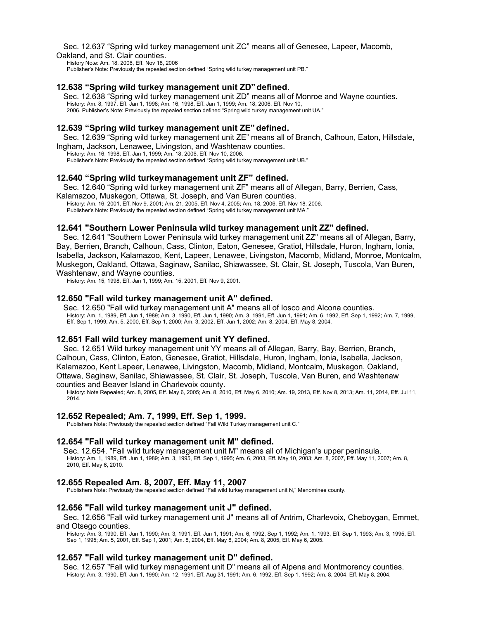#### Sec. 12.637 "Spring wild turkey management unit ZC" means all of Genesee, Lapeer, Macomb, Oakland, and St. Clair counties.

History Note: Am. 18, 2006, Eff. Nov 18, 2006 Publisher's Note: Previously the repealed section defined "Spring wild turkey management unit PB."

### **12.638 "Spring wild turkey management unit ZD"defined.**

Sec. 12.638 "Spring wild turkey management unit ZD" means all of Monroe and Wayne counties. History: Am. 8, 1997, Eff. Jan 1, 1998; Am. 16, 1998, Eff. Jan 1, 1999; Am. 18, 2006, Eff. Nov 10, 2006. Publisher's Note: Previously the repealed section defined "Spring wild turkey management unit UA."

### **12.639 "Spring wild turkey management unit ZE"defined.**

Sec. 12.639 "Spring wild turkey management unit ZE" means all of Branch, Calhoun, Eaton, Hillsdale, Ingham, Jackson, Lenawee, Livingston, and Washtenaw counties.

History: Am. 16, 1998, Eff. Jan 1, 1999; Am. 18, 2006, Eff. Nov 10, 2006. Publisher's Note: Previously the repealed section defined "Spring wild turkey management unit UB."

### **12.640 "Spring wild turkeymanagement unit ZF" defined.**

Sec. 12.640 "Spring wild turkey management unit ZF" means all of Allegan, Barry, Berrien, Cass,

Kalamazoo, Muskegon, Ottawa, St. Joseph, and Van Buren counties. History: Am. 16, 2001, Eff. Nov 9, 2001; Am. 21, 2005, Eff. Nov 4, 2005; Am. 18, 2006, Eff. Nov 18, 2006. Publisher's Note: Previously the repealed section defined "Spring wild turkey management unit MA."

### **12.641 "Southern Lower Peninsula wild turkey management unit ZZ" defined.**

Sec. 12.641 "Southern Lower Peninsula wild turkey management unit ZZ" means all of Allegan, Barry, Bay, Berrien, Branch, Calhoun, Cass, Clinton, Eaton, Genesee, Gratiot, Hillsdale, Huron, Ingham, Ionia, Isabella, Jackson, Kalamazoo, Kent, Lapeer, Lenawee, Livingston, Macomb, Midland, Monroe, Montcalm, Muskegon, Oakland, Ottawa, Saginaw, Sanilac, Shiawassee, St. Clair, St. Joseph, Tuscola, Van Buren, Washtenaw, and Wayne counties.

History: Am. 15, 1998, Eff. Jan 1, 1999; Am. 15, 2001, Eff. Nov 9, 2001.

### **12.650 "Fall wild turkey management unit A" defined.**

Sec. 12.650 "Fall wild turkey management unit A" means all of Iosco and Alcona counties. History: Am. 1, 1989, Eff. Jun 1, 1989; Am. 3, 1990, Eff. Jun 1, 1990; Am. 3, 1991, Eff. Jun 1, 1991; Am. 6, 1992, Eff. Sep 1, 1992; Am. 7, 1999, Eff. Sep 1, 1999; Am. 5, 2000, Eff. Sep 1, 2000; Am. 3, 2002, Eff. Jun 1, 2002; Am. 8, 2004, Eff. May 8, 2004.

### **12.651 Fall wild turkey management unit YY defined.**

Sec. 12.651 Wild turkey management unit YY means all of Allegan, Barry, Bay, Berrien, Branch, Calhoun, Cass, Clinton, Eaton, Genesee, Gratiot, Hillsdale, Huron, Ingham, Ionia, Isabella, Jackson, Kalamazoo, Kent Lapeer, Lenawee, Livingston, Macomb, Midland, Montcalm, Muskegon, Oakland, Ottawa, Saginaw, Sanilac, Shiawassee, St. Clair, St. Joseph, Tuscola, Van Buren, and Washtenaw counties and Beaver Island in Charlevoix county.

History: Note Repealed; Am. 8, 2005, Eff. May 6, 2005; Am. 8, 2010, Eff. May 6, 2010; Am. 19, 2013, Eff. Nov 8, 2013; Am. 11, 2014, Eff. Jul 11, 2014.

### **12.652 Repealed; Am. 7, 1999, Eff. Sep 1, 1999.**

Publishers Note: Previously the repealed section defined "Fall Wild Turkey management unit C."

### **12.654 "Fall wild turkey management unit M" defined.**

Sec. 12.654. "Fall wild turkey management unit M" means all of Michigan's upper peninsula. History: Am. 1, 1989, Eff. Jun 1, 1989; Am. 3, 1995, Eff. Sep 1, 1995; Am. 6, 2003, Eff. May 10, 2003; Am. 8, 2007, Eff. May 11, 2007; Am. 8, 2010, Eff. May 6, 2010.

### **12.655 Repealed Am. 8, 2007, Eff. May 11, 2007**

Publishers Note: Previously the repealed section defined "Fall wild turkey management unit N," Menominee county.

#### **12.656 "Fall wild turkey management unit J" defined.**

Sec. 12.656 "Fall wild turkey management unit J" means all of Antrim, Charlevoix, Cheboygan, Emmet, and Otsego counties.

History: Am. 3, 1990, Eff. Jun 1, 1990; Am. 3, 1991, Eff. Jun 1, 1991; Am. 6, 1992, Sep 1, 1992; Am. 1, 1993, Eff. Sep 1, 1993; Am. 3, 1995, Eff. Sep 1, 1995; Am. 5, 2001, Eff. Sep 1, 2001; Am. 8, 2004, Eff. May 8, 2004; Am. 8, 2005, Eff. May 6, 2005.

### **12.657 "Fall wild turkey management unit D" defined.**

Sec. 12.657 "Fall wild turkey management unit D" means all of Alpena and Montmorency counties. History: Am. 3, 1990, Eff. Jun 1, 1990; Am. 12, 1991, Eff. Aug 31, 1991; Am. 6, 1992, Eff. Sep 1, 1992; Am. 8, 2004, Eff. May 8, 2004.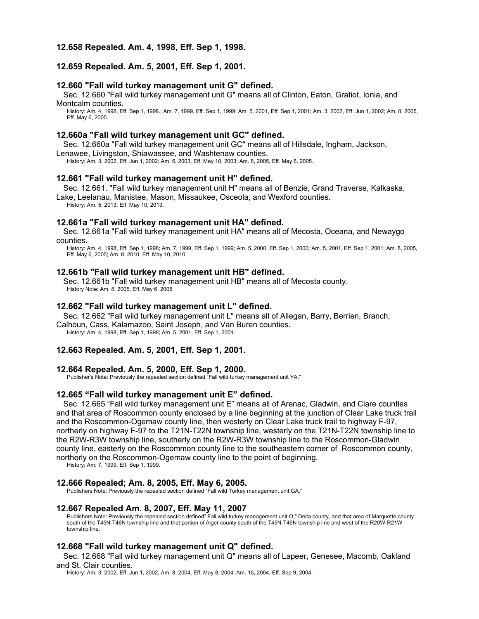### **12.658 Repealed. Am. 4, 1998, Eff. Sep 1, 1998.**

### **12.659 Repealed. Am. 5, 2001, Eff. Sep 1, 2001.**

### **12.660 "Fall wild turkey management unit G" defined.**

Sec. 12.660 "Fall wild turkey management unit G" means all of Clinton, Eaton, Gratiot, Ionia, and Montcalm counties.

History: Am. 4, 1998, Eff. Sep 1, 1998.; Am. 7, 1999, Eff. Sep 1, 1999; Am. 5, 2001, Eff. Sep 1, 2001; Am. 3, 2002, Eff. Jun 1, 2002; Am. 8, 2005, Eff. May 6, 2005.

#### **12.660a "Fall wild turkey management unit GC" defined.**

Sec. 12.660a "Fall wild turkey management unit GC" means all of Hillsdale, Ingham, Jackson,

Lenawee, Livingston, Shiawassee, and Washtenaw counties.

History: Am. 3, 2002, Eff. Jun 1, 2002; Am. 6, 2003, Eff. May 10, 2003; Am. 8, 2005, Eff. May 6, 2005.

### **12.661 "Fall wild turkey management unit H" defined.**

Sec. 12.661. "Fall wild turkey management unit H" means all of Benzie, Grand Traverse, Kalkaska,

Lake, Leelanau, Manistee, Mason, Missaukee, Osceola, and Wexford counties.

History: Am. 5, 2013, Eff. May 10, 2013.

#### **12.661a "Fall wild turkey management unit HA" defined.**

Sec. 12.661a "Fall wild turkey management unit HA" means all of Mecosta, Oceana, and Newaygo counties.

History: Am. 4, 1998, Eff. Sep 1, 1998; Am. 7, 1999, Eff. Sep 1, 1999; Am. 5, 2000, Eff. Sep 1, 2000; Am. 5, 2001, Eff. Sep 1, 2001; Am. 8, 2005, Eff. May 6, 2005; Am. 8, 2010, Eff. May 10, 2010.

### **12.661b "Fall wild turkey management unit HB" defined.**

Sec. 12.661b "Fall wild turkey management unit HB" means all of Mecosta county. History Note: Am. 8, 2005, Eff. May 6, 2005

### **12.662 "Fall wild turkey management unit L" defined.**

Sec. 12.662 "Fall wild turkey management unit L" means all of Allegan, Barry, Berrien, Branch, Calhoun, Cass, Kalamazoo, Saint Joseph, and Van Buren counties.

History: Am. 4, 1998, Eff. Sep 1, 1998; Am. 5, 2001, Eff. Sep 1, 2001.

### **12.663 Repealed. Am. 5, 2001, Eff. Sep 1, 2001.**

#### **12.664 Repealed. Am. 5, 2000, Eff. Sep 1, 2000.**

Publisher's Note: Previously the repealed section defined "Fall wild turkey management unit YA."

#### **12.665 "Fall wild turkey management unit E" defined.**

Sec. 12.665 "Fall wild turkey management unit E" means all of Arenac, Gladwin, and Clare counties and that area of Roscommon county enclosed by a line beginning at the junction of Clear Lake truck trail and the Roscommon-Ogemaw county line, then westerly on Clear Lake truck trail to highway F-97, northerly on highway F-97 to the T21N-T22N township line, westerly on the T21N-T22N township line to the R2W-R3W township line, southerly on the R2W-R3W township line to the Roscommon-Gladwin county line, easterly on the Roscommon county line to the southeastern corner of Roscommon county, northerly on the Roscommon-Ogemaw county line to the point of beginning.

History: Am. 7, 1999, Eff. Sep 1, 1999.

#### **12.666 Repealed; Am. 8, 2005, Eff. May 6, 2005.**

Publishers Note: Previously the repealed section defined "Fall wild Turkey management unit GA."

#### **12.667 Repealed Am. 8, 2007, Eff. May 11, 2007**

Publishers Note: Previously the repealed section defined" Fall wild turkey management unit O," Delta county, and that area of Marquette county south of the T45N-T46N township line and that portion of Alger county south of the T45N-T46N township line and west of the R20W-R21W township line.

### **12.668 "Fall wild turkey management unit Q" defined.**

Sec. 12.668 "Fall wild turkey management unit Q" means all of Lapeer, Genesee, Macomb, Oakland and St. Clair counties.

History: Am. 3, 2002, Eff. Jun 1, 2002; Am. 8, 2004, Eff. May 8, 2004; Am. 16, 2004, Eff. Sep 9, 2004.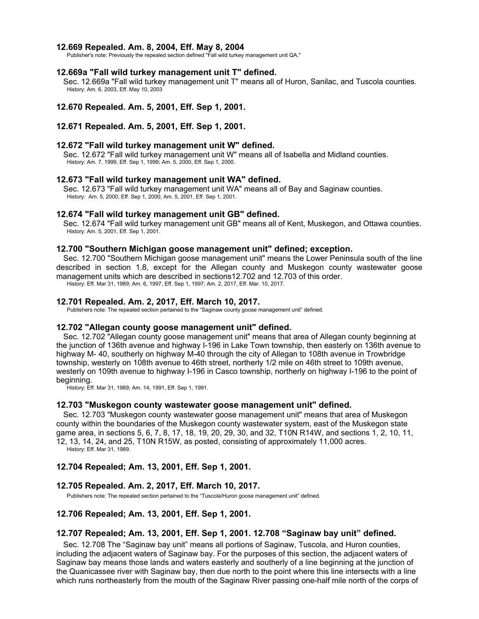### **12.669 Repealed. Am. 8, 2004, Eff. May 8, 2004**

Publisher's note: Previously the repealed section defined "Fall wild turkey management unit QA."

#### **12.669a "Fall wild turkey management unit T" defined.**

Sec. 12.669a "Fall wild turkey management unit T" means all of Huron, Sanilac, and Tuscola counties. History: Am. 6, 2003, Eff. May 10, 2003

#### **12.670 Repealed. Am. 5, 2001, Eff. Sep 1, 2001.**

### **12.671 Repealed. Am. 5, 2001, Eff. Sep 1, 2001.**

#### **12.672 "Fall wild turkey management unit W" defined.**

Sec. 12.672 "Fall wild turkey management unit W" means all of Isabella and Midland counties. History: Am. 7, 1999, Eff. Sep 1, 1999; Am. 5, 2000, Eff. Sep 1, 2000.

#### **12.673 "Fall wild turkey management unit WA" defined.**

Sec. 12.673 "Fall wild turkey management unit WA" means all of Bay and Saginaw counties. History: Am. 5, 2000, Eff. Sep 1, 2000; Am. 5, 2001, Eff. Sep 1, 2001.

#### **12.674 "Fall wild turkey management unit GB" defined.**

Sec. 12.674 "Fall wild turkey management unit GB" means all of Kent, Muskegon, and Ottawa counties. History: Am. 5, 2001, Eff. Sep 1, 2001.

### **12.700 "Southern Michigan goose management unit" defined; exception.**

Sec. 12.700 "Southern Michigan goose management unit" means the Lower Peninsula south of the line described in section 1.8, except for the Allegan county and Muskegon county wastewater goose management units which are described in sections12.702 and 12.703 of this order.

History: Eff. Mar 31, 1989; Am. 6, 1997, Eff. Sep 1, 1997; Am. 2, 2017, Eff. Mar. 10, 2017.

#### **12.701 Repealed. Am. 2, 2017, Eff. March 10, 2017.**

Publishers note: The repealed section pertained to the "Saginaw county goose management unit" defined.

### **12.702 "Allegan county goose management unit" defined.**

Sec. 12.702 "Allegan county goose management unit" means that area of Allegan county beginning at the junction of 136th avenue and highway I-196 in Lake Town township, then easterly on 136th avenue to highway M- 40, southerly on highway M-40 through the city of Allegan to 108th avenue in Trowbridge township, westerly on 108th avenue to 46th street, northerly 1/2 mile on 46th street to 109th avenue, westerly on 109th avenue to highway I-196 in Casco township, northerly on highway I-196 to the point of beginning.

History: Eff. Mar 31, 1989; Am. 14, 1991, Eff. Sep 1, 1991.

### **12.703 "Muskegon county wastewater goose management unit" defined.**

Sec. 12.703 "Muskegon county wastewater goose management unit" means that area of Muskegon county within the boundaries of the Muskegon county wastewater system, east of the Muskegon state game area, in sections 5, 6, 7, 8, 17, 18, 19, 20, 29, 30, and 32, T10N R14W, and sections 1, 2, 10, 11, 12, 13, 14, 24, and 25, T10N R15W, as posted, consisting of approximately 11,000 acres.

History: Eff. Mar 31, 1989.

# **12.704 Repealed; Am. 13, 2001, Eff. Sep 1, 2001.**

#### **12.705 Repealed. Am. 2, 2017, Eff. March 10, 2017.**

Publishers note: The repealed section pertained to the "Tuscola/Huron goose management unit" defined.

### **12.706 Repealed; Am. 13, 2001, Eff. Sep 1, 2001.**

### **12.707 Repealed; Am. 13, 2001, Eff. Sep 1, 2001. 12.708 "Saginaw bay unit" defined.**

Sec. 12.708 The "Saginaw bay unit" means all portions of Saginaw, Tuscola, and Huron counties, including the adjacent waters of Saginaw bay. For the purposes of this section, the adjacent waters of Saginaw bay means those lands and waters easterly and southerly of a line beginning at the junction of the Quanicassee river with Saginaw bay, then due north to the point where this line intersects with a line which runs northeasterly from the mouth of the Saginaw River passing one-half mile north of the corps of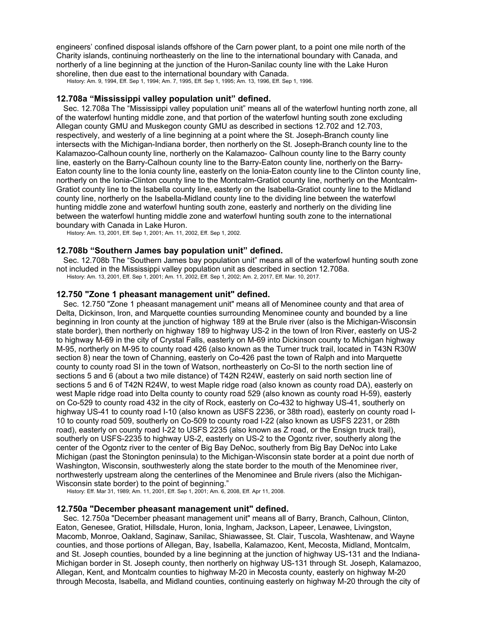engineers' confined disposal islands offshore of the Carn power plant, to a point one mile north of the Charity islands, continuing northeasterly on the line to the international boundary with Canada, and northerly of a line beginning at the junction of the Huron-Sanilac county line with the Lake Huron shoreline, then due east to the international boundary with Canada.

History: Am. 9, 1994, Eff. Sep 1, 1994; Am. 7, 1995, Eff. Sep 1, 1995; Am. 13, 1996, Eff. Sep 1, 1996.

### **12.708a "Mississippi valley population unit" defined.**

Sec. 12.708a The "Mississippi valley population unit" means all of the waterfowl hunting north zone, all of the waterfowl hunting middle zone, and that portion of the waterfowl hunting south zone excluding Allegan county GMU and Muskegon county GMU as described in sections 12.702 and 12.703, respectively, and westerly of a line beginning at a point where the St. Joseph-Branch county line intersects with the Michigan-Indiana border, then northerly on the St. Joseph-Branch county line to the Kalamazoo-Calhoun county line, northerly on the Kalamazoo- Calhoun county line to the Barry county line, easterly on the Barry-Calhoun county line to the Barry-Eaton county line, northerly on the Barry-Eaton county line to the Ionia county line, easterly on the Ionia-Eaton county line to the Clinton county line, northerly on the Ionia-Clinton county line to the Montcalm-Gratiot county line, northerly on the Montcalm-Gratiot county line to the Isabella county line, easterly on the Isabella-Gratiot county line to the Midland county line, northerly on the Isabella-Midland county line to the dividing line between the waterfowl hunting middle zone and waterfowl hunting south zone, easterly and northerly on the dividing line between the waterfowl hunting middle zone and waterfowl hunting south zone to the international boundary with Canada in Lake Huron.

History: Am. 13, 2001, Eff. Sep 1, 2001; Am. 11, 2002, Eff. Sep 1, 2002.

# **12.708b "Southern James bay population unit" defined.**

Sec. 12.708b The "Southern James bay population unit" means all of the waterfowl hunting south zone not included in the Mississippi valley population unit as described in section 12.708a. History: Am. 13, 2001, Eff. Sep 1, 2001; Am. 11, 2002, Eff. Sep 1, 2002; Am. 2, 2017, Eff. Mar. 10, 2017.

#### **12.750 "Zone 1 pheasant management unit" defined.**

Sec. 12.750 "Zone 1 pheasant management unit" means all of Menominee county and that area of Delta, Dickinson, Iron, and Marquette counties surrounding Menominee county and bounded by a line beginning in Iron county at the junction of highway 189 at the Brule river (also is the Michigan-Wisconsin state border), then northerly on highway 189 to highway US-2 in the town of Iron River, easterly on US-2 to highway M-69 in the city of Crystal Falls, easterly on M-69 into Dickinson county to Michigan highway M-95, northerly on M-95 to county road 426 (also known as the Turner truck trail, located in T43N R30W section 8) near the town of Channing, easterly on Co-426 past the town of Ralph and into Marquette county to county road SI in the town of Watson, northeasterly on Co-SI to the north section line of sections 5 and 6 (about a two mile distance) of T42N R24W, easterly on said north section line of sections 5 and 6 of T42N R24W, to west Maple ridge road (also known as county road DA), easterly on west Maple ridge road into Delta county to county road 529 (also known as county road H-59), easterly on Co-529 to county road 432 in the city of Rock, easterly on Co-432 to highway US-41, southerly on highway US-41 to county road I-10 (also known as USFS 2236, or 38th road), easterly on county road I-10 to county road 509, southerly on Co-509 to county road I-22 (also known as USFS 2231, or 28th road), easterly on county road I-22 to USFS 2235 (also known as Z road, or the Ensign truck trail), southerly on USFS-2235 to highway US-2, easterly on US-2 to the Ogontz river, southerly along the center of the Ogontz river to the center of Big Bay DeNoc, southerly from Big Bay DeNoc into Lake Michigan (past the Stonington peninsula) to the Michigan-Wisconsin state border at a point due north of Washington, Wisconsin, southwesterly along the state border to the mouth of the Menominee river, northwesterly upstream along the centerlines of the Menominee and Brule rivers (also the Michigan-Wisconsin state border) to the point of beginning." History: Eff. Mar 31, 1989; Am. 11, 2001, Eff. Sep 1, 2001; Am. 6, 2008, Eff. Apr 11, 2008.

#### **12.750a "December pheasant management unit" defined.**

Sec. 12.750a "December pheasant management unit" means all of Barry, Branch, Calhoun, Clinton, Eaton, Genesee, Gratiot, Hillsdale, Huron, Ionia, Ingham, Jackson, Lapeer, Lenawee, Livingston, Macomb, Monroe, Oakland, Saginaw, Sanilac, Shiawassee, St. Clair, Tuscola, Washtenaw, and Wayne counties, and those portions of Allegan, Bay, Isabella, Kalamazoo, Kent, Mecosta, Midland, Montcalm, and St. Joseph counties, bounded by a line beginning at the junction of highway US-131 and the Indiana-Michigan border in St. Joseph county, then northerly on highway US-131 through St. Joseph, Kalamazoo, Allegan, Kent, and Montcalm counties to highway M-20 in Mecosta county, easterly on highway M-20 through Mecosta, Isabella, and Midland counties, continuing easterly on highway M-20 through the city of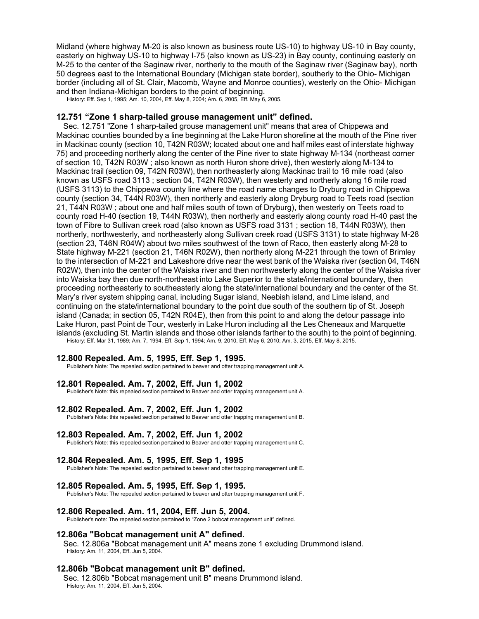Midland (where highway M-20 is also known as business route US-10) to highway US-10 in Bay county, easterly on highway US-10 to highway I-75 (also known as US-23) in Bay county, continuing easterly on M-25 to the center of the Saginaw river, northerly to the mouth of the Saginaw river (Saginaw bay), north 50 degrees east to the International Boundary (Michigan state border), southerly to the Ohio- Michigan border (including all of St. Clair, Macomb, Wayne and Monroe counties), westerly on the Ohio- Michigan and then Indiana-Michigan borders to the point of beginning.

History: Eff. Sep 1, 1995; Am. 10, 2004, Eff. May 8, 2004; Am. 6, 2005, Eff. May 6, 2005.

### **12.751 "Zone 1 sharp-tailed grouse management unit" defined.**

Sec. 12.751 "Zone 1 sharp-tailed grouse management unit" means that area of Chippewa and Mackinac counties bounded by a line beginning at the Lake Huron shoreline at the mouth of the Pine river in Mackinac county (section 10, T42N R03W; located about one and half miles east of interstate highway 75) and proceeding northerly along the center of the Pine river to state highway M-134 (northeast corner of section 10, T42N R03W ; also known as north Huron shore drive), then westerly along M-134 to Mackinac trail (section 09, T42N R03W), then northeasterly along Mackinac trail to 16 mile road (also known as USFS road 3113 ; section 04, T42N R03W), then westerly and northerly along 16 mile road (USFS 3113) to the Chippewa county line where the road name changes to Dryburg road in Chippewa county (section 34, T44N R03W), then northerly and easterly along Dryburg road to Teets road (section 21, T44N R03W ; about one and half miles south of town of Dryburg), then westerly on Teets road to county road H-40 (section 19, T44N R03W), then northerly and easterly along county road H-40 past the town of Fibre to Sullivan creek road (also known as USFS road 3131 ; section 18, T44N R03W), then northerly, northwesterly, and northeasterly along Sullivan creek road (USFS 3131) to state highway M-28 (section 23, T46N R04W) about two miles southwest of the town of Raco, then easterly along M-28 to State highway M-221 (section 21, T46N R02W), then northerly along M-221 through the town of Brimley to the intersection of M-221 and Lakeshore drive near the west bank of the Waiska river (section 04, T46N R02W), then into the center of the Waiska river and then northwesterly along the center of the Waiska river into Waiska bay then due north-northeast into Lake Superior to the state/international boundary, then proceeding northeasterly to southeasterly along the state/international boundary and the center of the St. Mary's river system shipping canal, including Sugar island, Neebish island, and Lime island, and continuing on the state/international boundary to the point due south of the southern tip of St. Joseph island (Canada; in section 05, T42N R04E), then from this point to and along the detour passage into Lake Huron, past Point de Tour, westerly in Lake Huron including all the Les Cheneaux and Marquette islands (excluding St. Martin islands and those other islands farther to the south) to the point of beginning. History: Eff. Mar 31, 1989; Am. 7, 1994, Eff. Sep 1, 1994; Am. 9, 2010, Eff. May 6, 2010; Am. 3, 2015, Eff. May 8, 2015.

#### **12.800 Repealed. Am. 5, 1995, Eff. Sep 1, 1995.**

Publisher's Note: The repealed section pertained to beaver and otter trapping management unit A.

#### **12.801 Repealed. Am. 7, 2002, Eff. Jun 1, 2002**

Publisher's Note: this repealed section pertained to Beaver and otter trapping management unit A.

#### **12.802 Repealed. Am. 7, 2002, Eff. Jun 1, 2002**

Publisher's Note: this repealed section pertained to Beaver and otter trapping management unit B.

#### **12.803 Repealed. Am. 7, 2002, Eff. Jun 1, 2002**

Publisher's Note: this repealed section pertained to Beaver and otter trapping management unit C.

#### **12.804 Repealed. Am. 5, 1995, Eff. Sep 1, 1995**

Publisher's Note: The repealed section pertained to beaver and otter trapping management unit E.

# **12.805 Repealed. Am. 5, 1995, Eff. Sep 1, 1995.**

Publisher's Note: The repealed section pertained to beaver and otter trapping management unit F.

### **12.806 Repealed. Am. 11, 2004, Eff. Jun 5, 2004.**

Publisher's note: The repealed section pertained to "Zone 2 bobcat management unit" defined.

### **12.806a "Bobcat management unit A" defined.**

Sec. 12.806a "Bobcat management unit A" means zone 1 excluding Drummond island. History: Am. 11, 2004, Eff. Jun 5, 2004.

### **12.806b "Bobcat management unit B" defined.**

Sec. 12.806b "Bobcat management unit B" means Drummond island. History: Am. 11, 2004, Eff. Jun 5, 2004.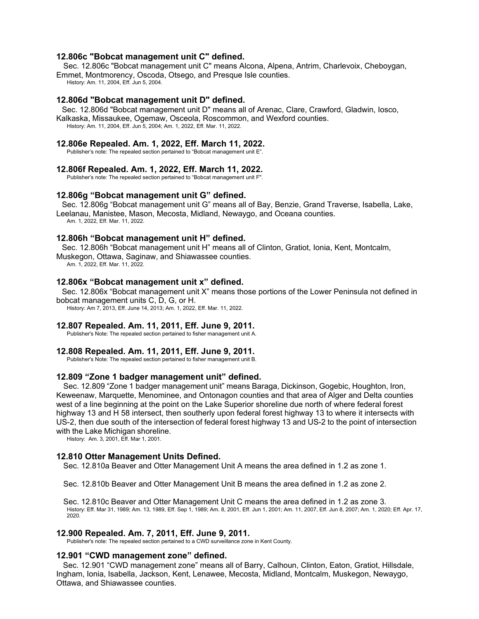# **12.806c "Bobcat management unit C" defined.**

Sec. 12.806c "Bobcat management unit C" means Alcona, Alpena, Antrim, Charlevoix, Cheboygan, Emmet, Montmorency, Oscoda, Otsego, and Presque Isle counties.

History: Am. 11, 2004, Eff. Jun 5, 2004.

# **12.806d "Bobcat management unit D" defined.**

Sec. 12.806d "Bobcat management unit D" means all of Arenac, Clare, Crawford, Gladwin, Iosco, Kalkaska, Missaukee, Ogemaw, Osceola, Roscommon, and Wexford counties. History: Am. 11, 2004, Eff. Jun 5, 2004; Am. 1, 2022, Eff. Mar. 11, 2022.

### **12.806e Repealed. Am. 1, 2022, Eff. March 11, 2022.**

Publisher's note: The repealed section pertained to "Bobcat management unit E".

### **12.806f Repealed. Am. 1, 2022, Eff. March 11, 2022.**

Publisher's note: The repealed section pertained to "Bobcat management unit F".

### **12.806g "Bobcat management unit G" defined.**

Sec. 12.806g "Bobcat management unit G" means all of Bay, Benzie, Grand Traverse, Isabella, Lake, Leelanau, Manistee, Mason, Mecosta, Midland, Newaygo, and Oceana counties. Am. 1, 2022, Eff. Mar. 11, 2022.

### **12.806h "Bobcat management unit H" defined.**

Sec. 12.806h "Bobcat management unit H" means all of Clinton, Gratiot, Ionia, Kent, Montcalm, Muskegon, Ottawa, Saginaw, and Shiawassee counties.

Am. 1, 2022, Eff. Mar. 11, 2022.

#### **12.806x "Bobcat management unit x" defined.**

Sec. 12.806x "Bobcat management unit X" means those portions of the Lower Peninsula not defined in bobcat management units C, D, G, or H.

History: Am 7, 2013, Eff. June 14, 2013; Am. 1, 2022, Eff. Mar. 11, 2022.

### **12.807 Repealed. Am. 11, 2011, Eff. June 9, 2011.**

Publisher's Note: The repealed section pertained to fisher management unit A.

#### **12.808 Repealed. Am. 11, 2011, Eff. June 9, 2011.**

Publisher's Note: The repealed section pertained to fisher management unit B.

#### **12.809 "Zone 1 badger management unit" defined.**

Sec. 12.809 "Zone 1 badger management unit" means Baraga, Dickinson, Gogebic, Houghton, Iron, Keweenaw, Marquette, Menominee, and Ontonagon counties and that area of Alger and Delta counties west of a line beginning at the point on the Lake Superior shoreline due north of where federal forest highway 13 and H 58 intersect, then southerly upon federal forest highway 13 to where it intersects with US-2, then due south of the intersection of federal forest highway 13 and US-2 to the point of intersection with the Lake Michigan shoreline.

History: Am. 3, 2001, Eff. Mar 1, 2001.

### **12.810 Otter Management Units Defined.**

Sec. 12.810a Beaver and Otter Management Unit A means the area defined in 1.2 as zone 1.

Sec. 12.810b Beaver and Otter Management Unit B means the area defined in 1.2 as zone 2.

Sec. 12.810c Beaver and Otter Management Unit C means the area defined in 1.2 as zone 3. History: Eff. Mar 31, 1989; Am. 13, 1989, Eff. Sep 1, 1989; Am. 8, 2001, Eff. Jun 1, 2001; Am. 11, 2007, Eff. Jun 8, 2007; Am. 1, 2020; Eff. Apr. 17, 2020.

#### **12.900 Repealed. Am. 7, 2011, Eff. June 9, 2011.**

Publisher's note: The repealed section pertained to a CWD surveillance zone in Kent County.

#### **12.901 "CWD management zone" defined.**

Sec. 12.901 "CWD management zone" means all of Barry, Calhoun, Clinton, Eaton, Gratiot, Hillsdale, Ingham, Ionia, Isabella, Jackson, Kent, Lenawee, Mecosta, Midland, Montcalm, Muskegon, Newaygo, Ottawa, and Shiawassee counties.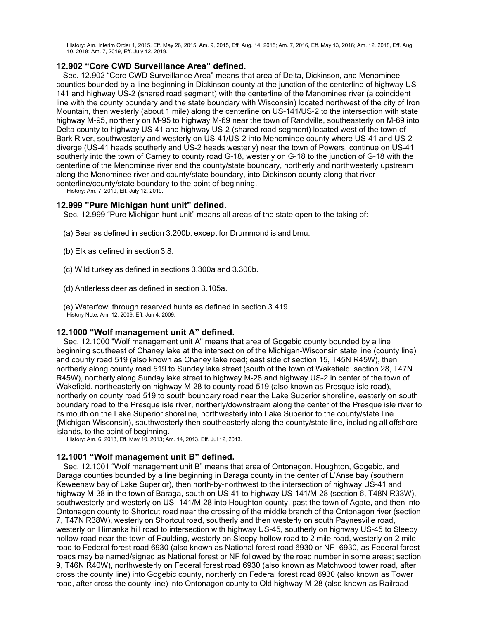History: Am. Interim Order 1, 2015, Eff. May 26, 2015, Am. 9, 2015, Eff. Aug. 14, 2015; Am. 7, 2016, Eff. May 13, 2016; Am. 12, 2018, Eff. Aug. 10, 2018; Am. 7, 2019, Eff. July 12, 2019.

# **12.902 "Core CWD Surveillance Area" defined.**

Sec. 12.902 "Core CWD Surveillance Area" means that area of Delta, Dickinson, and Menominee counties bounded by a line beginning in Dickinson county at the junction of the centerline of highway US-141 and highway US-2 (shared road segment) with the centerline of the Menominee river (a coincident line with the county boundary and the state boundary with Wisconsin) located northwest of the city of Iron Mountain, then westerly (about 1 mile) along the centerline on US-141/US-2 to the intersection with state highway M-95, northerly on M-95 to highway M-69 near the town of Randville, southeasterly on M-69 into Delta county to highway US-41 and highway US-2 (shared road segment) located west of the town of Bark River, southwesterly and westerly on US-41/US-2 into Menominee county where US-41 and US-2 diverge (US-41 heads southerly and US-2 heads westerly) near the town of Powers, continue on US-41 southerly into the town of Carney to county road G-18, westerly on G-18 to the junction of G-18 with the centerline of the Menominee river and the county/state boundary, northerly and northwesterly upstream along the Menominee river and county/state boundary, into Dickinson county along that rivercenterline/county/state boundary to the point of beginning.

History: Am. 7, 2019, Eff. July 12, 2019.

### **12.999 "Pure Michigan hunt unit" defined.**

Sec. 12.999 "Pure Michigan hunt unit" means all areas of the state open to the taking of:

- (a) Bear as defined in section 3.200b, except for Drummond island bmu.
- (b) Elk as defined in section 3.8.
- (c) Wild turkey as defined in sections 3.300a and 3.300b.
- (d) Antlerless deer as defined in section 3.105a.
- (e) Waterfowl through reserved hunts as defined in section 3.419. History Note: Am. 12, 2009, Eff. Jun 4, 2009.

# **12.1000 "Wolf management unit A" defined.**

Sec. 12.1000 "Wolf management unit A" means that area of Gogebic county bounded by a line beginning southeast of Chaney lake at the intersection of the Michigan-Wisconsin state line (county line) and county road 519 (also known as Chaney lake road; east side of section 15, T45N R45W), then northerly along county road 519 to Sunday lake street (south of the town of Wakefield; section 28, T47N R45W), northerly along Sunday lake street to highway M-28 and highway US-2 in center of the town of Wakefield, northeasterly on highway M-28 to county road 519 (also known as Presque isle road), northerly on county road 519 to south boundary road near the Lake Superior shoreline, easterly on south boundary road to the Presque isle river, northerly/downstream along the center of the Presque isle river to its mouth on the Lake Superior shoreline, northwesterly into Lake Superior to the county/state line (Michigan-Wisconsin), southwesterly then southeasterly along the county/state line, including all offshore islands, to the point of beginning.

History: Am. 6, 2013, Eff. May 10, 2013; Am. 14, 2013, Eff. Jul 12, 2013.

### **12.1001 "Wolf management unit B" defined.**

Sec. 12.1001 "Wolf management unit B" means that area of Ontonagon, Houghton, Gogebic, and Baraga counties bounded by a line beginning in Baraga county in the center of L'Anse bay (southern Keweenaw bay of Lake Superior), then north-by-northwest to the intersection of highway US-41 and highway M-38 in the town of Baraga, south on US-41 to highway US-141/M-28 (section 6, T48N R33W), southwesterly and westerly on US- 141/M-28 into Houghton county, past the town of Agate, and then into Ontonagon county to Shortcut road near the crossing of the middle branch of the Ontonagon river (section 7, T47N R38W), westerly on Shortcut road, southerly and then westerly on south Paynesville road, westerly on Himanka hill road to intersection with highway US-45, southerly on highway US-45 to Sleepy hollow road near the town of Paulding, westerly on Sleepy hollow road to 2 mile road, westerly on 2 mile road to Federal forest road 6930 (also known as National forest road 6930 or NF- 6930, as Federal forest roads may be named/signed as National forest or NF followed by the road number in some areas; section 9, T46N R40W), northwesterly on Federal forest road 6930 (also known as Matchwood tower road, after cross the county line) into Gogebic county, northerly on Federal forest road 6930 (also known as Tower road, after cross the county line) into Ontonagon county to Old highway M-28 (also known as Railroad